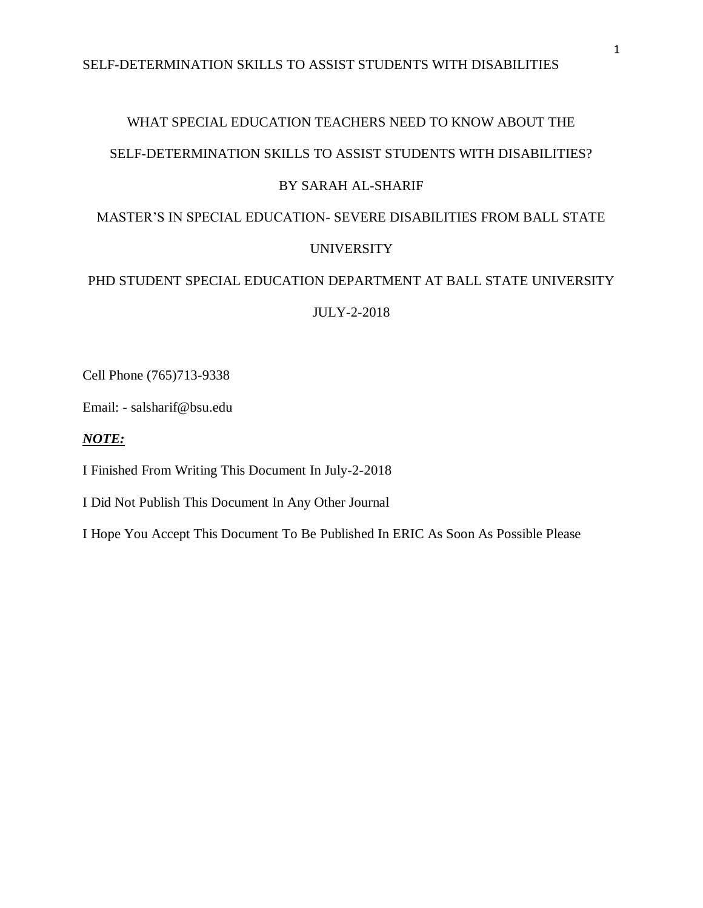# WHAT SPECIAL EDUCATION TEACHERS NEED TO KNOW ABOUT THE SELF-DETERMINATION SKILLS TO ASSIST STUDENTS WITH DISABILITIES?

## BY SARAH AL-SHARIF

# MASTER'S IN SPECIAL EDUCATION- SEVERE DISABILITIES FROM BALL STATE

## UNIVERSITY

## PHD STUDENT SPECIAL EDUCATION DEPARTMENT AT BALL STATE UNIVERSITY

JULY-2-2018

Cell Phone (765)713-9338

Email: - salsharif@bsu.edu

## *NOTE:*

I Finished From Writing This Document In July-2-2018

I Did Not Publish This Document In Any Other Journal

I Hope You Accept This Document To Be Published In ERIC As Soon As Possible Please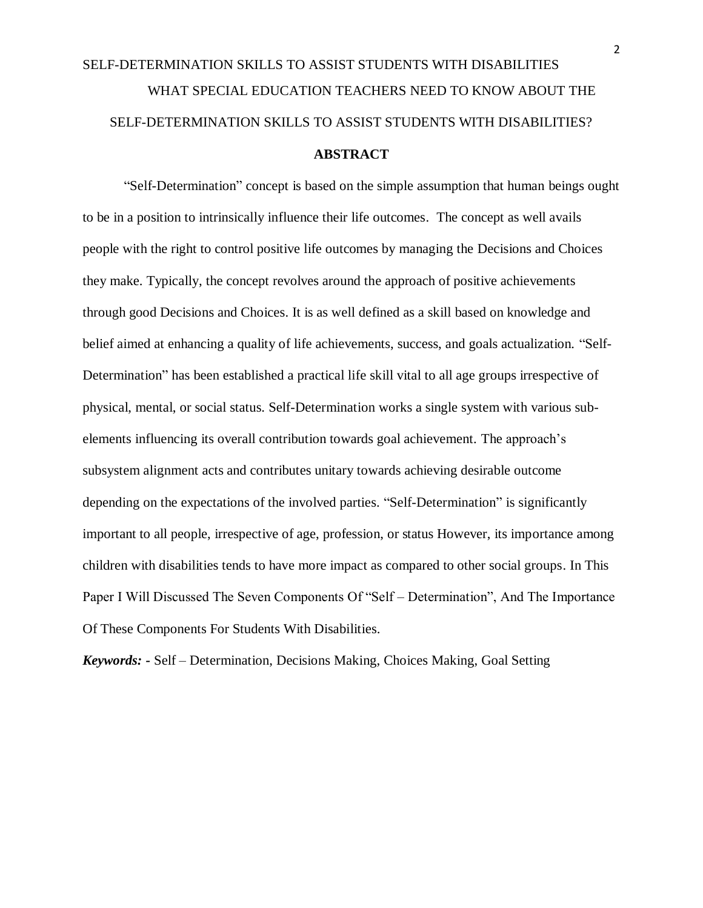# SELF-DETERMINATION SKILLS TO ASSIST STUDENTS WITH DISABILITIES WHAT SPECIAL EDUCATION TEACHERS NEED TO KNOW ABOUT THE SELF-DETERMINATION SKILLS TO ASSIST STUDENTS WITH DISABILITIES? **ABSTRACT**

"Self-Determination" concept is based on the simple assumption that human beings ought to be in a position to intrinsically influence their life outcomes. The concept as well avails people with the right to control positive life outcomes by managing the Decisions and Choices they make. Typically, the concept revolves around the approach of positive achievements through good Decisions and Choices. It is as well defined as a skill based on knowledge and belief aimed at enhancing a quality of life achievements, success, and goals actualization. "Self-Determination" has been established a practical life skill vital to all age groups irrespective of physical, mental, or social status. Self-Determination works a single system with various subelements influencing its overall contribution towards goal achievement. The approach's subsystem alignment acts and contributes unitary towards achieving desirable outcome depending on the expectations of the involved parties. "Self-Determination" is significantly important to all people, irrespective of age, profession, or status However, its importance among children with disabilities tends to have more impact as compared to other social groups. In This Paper I Will Discussed The Seven Components Of "Self – Determination", And The Importance Of These Components For Students With Disabilities.

*Keywords: -* Self – Determination, Decisions Making, Choices Making, Goal Setting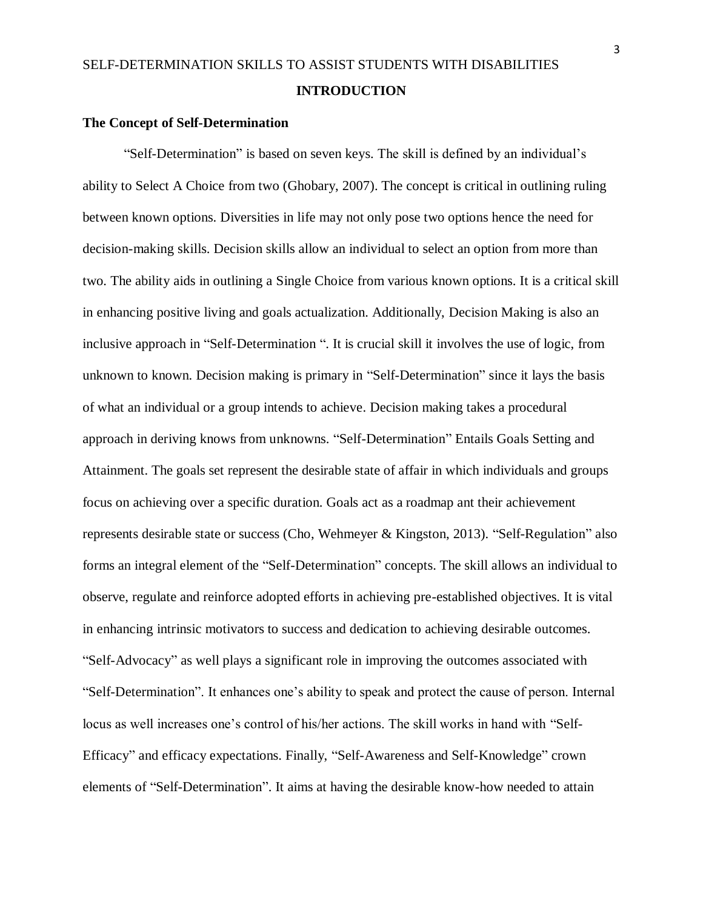#### **The Concept of Self-Determination**

"Self-Determination" is based on seven keys. The skill is defined by an individual's ability to Select A Choice from two (Ghobary, 2007). The concept is critical in outlining ruling between known options. Diversities in life may not only pose two options hence the need for decision-making skills. Decision skills allow an individual to select an option from more than two. The ability aids in outlining a Single Choice from various known options. It is a critical skill in enhancing positive living and goals actualization. Additionally, Decision Making is also an inclusive approach in "Self-Determination ". It is crucial skill it involves the use of logic, from unknown to known. Decision making is primary in "Self-Determination" since it lays the basis of what an individual or a group intends to achieve. Decision making takes a procedural approach in deriving knows from unknowns. "Self-Determination" Entails Goals Setting and Attainment. The goals set represent the desirable state of affair in which individuals and groups focus on achieving over a specific duration. Goals act as a roadmap ant their achievement represents desirable state or success (Cho, Wehmeyer & Kingston, 2013). "Self-Regulation" also forms an integral element of the "Self-Determination" concepts. The skill allows an individual to observe, regulate and reinforce adopted efforts in achieving pre-established objectives. It is vital in enhancing intrinsic motivators to success and dedication to achieving desirable outcomes. "Self-Advocacy" as well plays a significant role in improving the outcomes associated with "Self-Determination". It enhances one's ability to speak and protect the cause of person. Internal locus as well increases one's control of his/her actions. The skill works in hand with "Self-Efficacy" and efficacy expectations. Finally, "Self-Awareness and Self-Knowledge" crown elements of "Self-Determination". It aims at having the desirable know-how needed to attain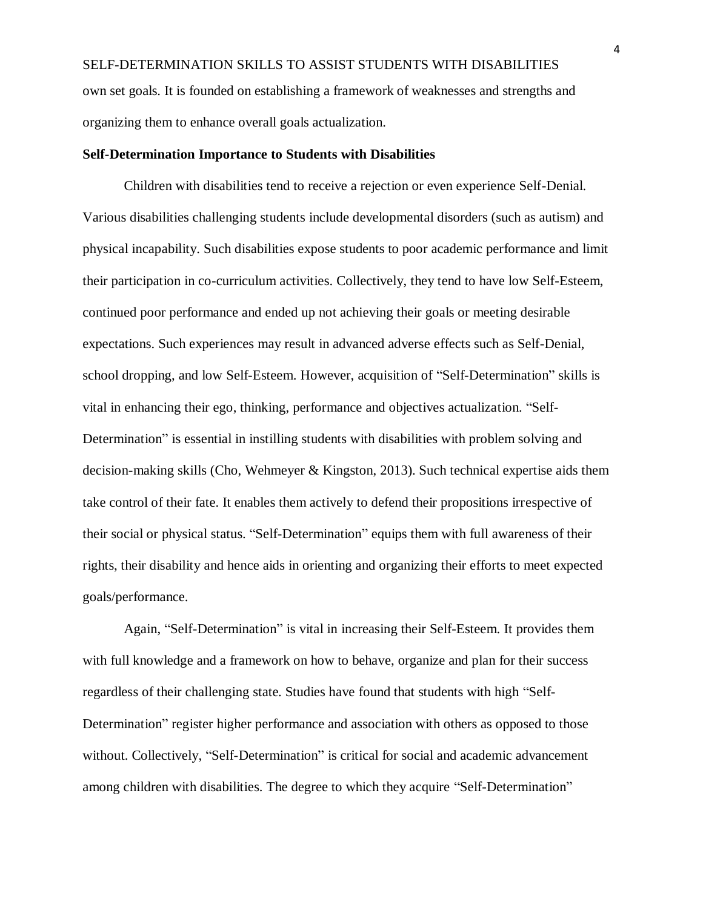SELF-DETERMINATION SKILLS TO ASSIST STUDENTS WITH DISABILITIES own set goals. It is founded on establishing a framework of weaknesses and strengths and organizing them to enhance overall goals actualization.

#### **Self-Determination Importance to Students with Disabilities**

Children with disabilities tend to receive a rejection or even experience Self-Denial. Various disabilities challenging students include developmental disorders (such as autism) and physical incapability. Such disabilities expose students to poor academic performance and limit their participation in co-curriculum activities. Collectively, they tend to have low Self-Esteem, continued poor performance and ended up not achieving their goals or meeting desirable expectations. Such experiences may result in advanced adverse effects such as Self-Denial, school dropping, and low Self-Esteem. However, acquisition of "Self-Determination" skills is vital in enhancing their ego, thinking, performance and objectives actualization. "Self-Determination" is essential in instilling students with disabilities with problem solving and decision-making skills (Cho, Wehmeyer & Kingston, 2013). Such technical expertise aids them take control of their fate. It enables them actively to defend their propositions irrespective of their social or physical status. "Self-Determination" equips them with full awareness of their rights, their disability and hence aids in orienting and organizing their efforts to meet expected goals/performance.

Again, "Self-Determination" is vital in increasing their Self-Esteem. It provides them with full knowledge and a framework on how to behave, organize and plan for their success regardless of their challenging state. Studies have found that students with high "Self-Determination" register higher performance and association with others as opposed to those without. Collectively, "Self-Determination" is critical for social and academic advancement among children with disabilities. The degree to which they acquire "Self-Determination"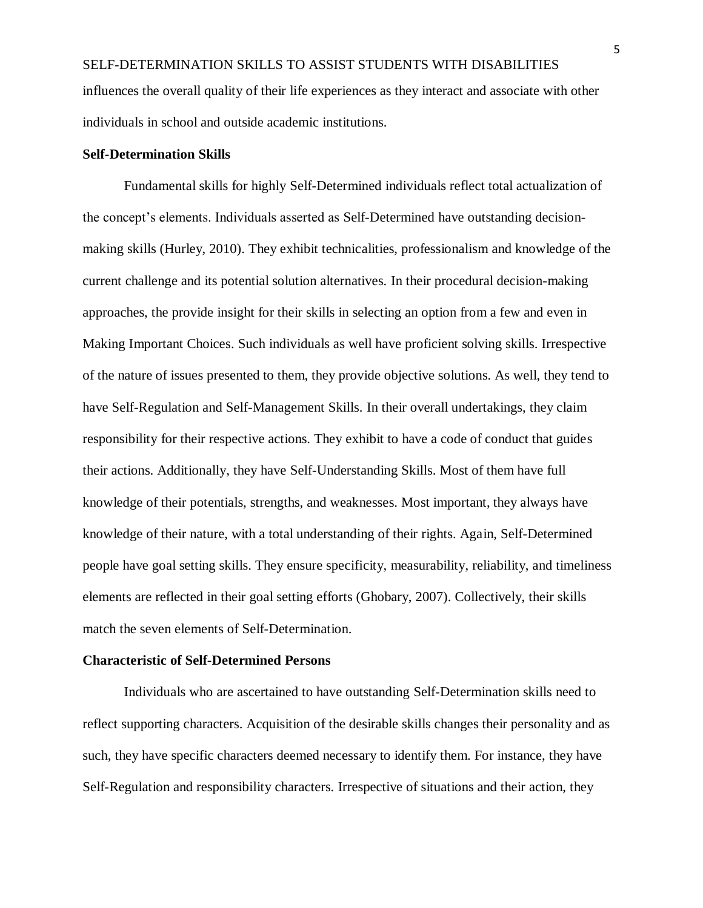SELF-DETERMINATION SKILLS TO ASSIST STUDENTS WITH DISABILITIES influences the overall quality of their life experiences as they interact and associate with other individuals in school and outside academic institutions.

#### **Self-Determination Skills**

Fundamental skills for highly Self-Determined individuals reflect total actualization of the concept's elements. Individuals asserted as Self-Determined have outstanding decisionmaking skills (Hurley, 2010). They exhibit technicalities, professionalism and knowledge of the current challenge and its potential solution alternatives. In their procedural decision-making approaches, the provide insight for their skills in selecting an option from a few and even in Making Important Choices. Such individuals as well have proficient solving skills. Irrespective of the nature of issues presented to them, they provide objective solutions. As well, they tend to have Self-Regulation and Self-Management Skills. In their overall undertakings, they claim responsibility for their respective actions. They exhibit to have a code of conduct that guides their actions. Additionally, they have Self-Understanding Skills. Most of them have full knowledge of their potentials, strengths, and weaknesses. Most important, they always have knowledge of their nature, with a total understanding of their rights. Again, Self-Determined people have goal setting skills. They ensure specificity, measurability, reliability, and timeliness elements are reflected in their goal setting efforts (Ghobary, 2007). Collectively, their skills match the seven elements of Self-Determination.

## **Characteristic of Self-Determined Persons**

Individuals who are ascertained to have outstanding Self-Determination skills need to reflect supporting characters. Acquisition of the desirable skills changes their personality and as such, they have specific characters deemed necessary to identify them. For instance, they have Self-Regulation and responsibility characters. Irrespective of situations and their action, they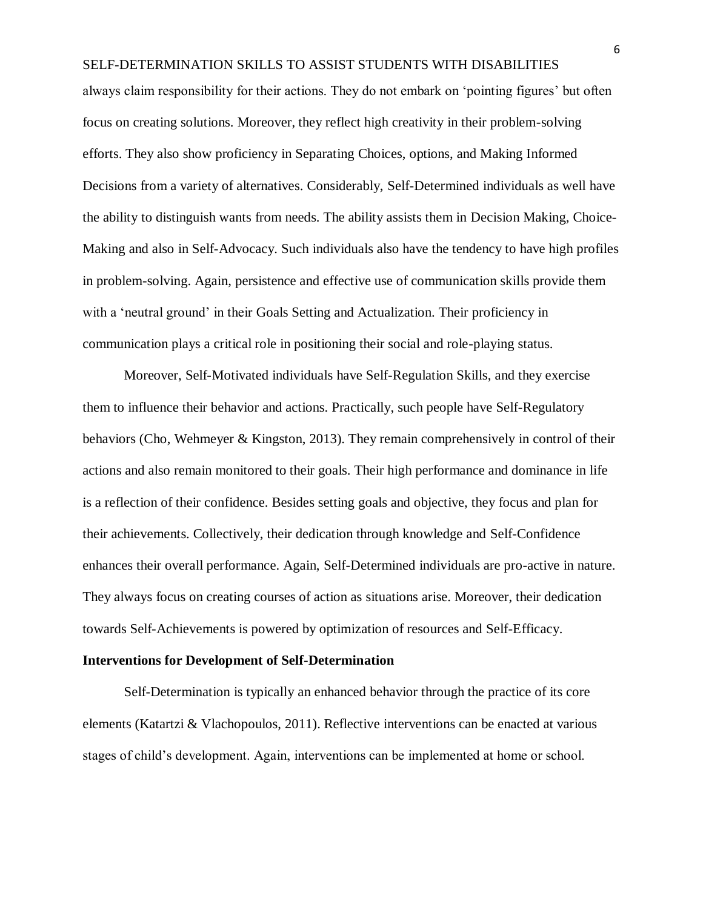always claim responsibility for their actions. They do not embark on 'pointing figures' but often focus on creating solutions. Moreover, they reflect high creativity in their problem-solving efforts. They also show proficiency in Separating Choices, options, and Making Informed Decisions from a variety of alternatives. Considerably, Self-Determined individuals as well have the ability to distinguish wants from needs. The ability assists them in Decision Making, Choice-Making and also in Self-Advocacy. Such individuals also have the tendency to have high profiles in problem-solving. Again, persistence and effective use of communication skills provide them with a 'neutral ground' in their Goals Setting and Actualization. Their proficiency in communication plays a critical role in positioning their social and role-playing status.

Moreover, Self-Motivated individuals have Self-Regulation Skills, and they exercise them to influence their behavior and actions. Practically, such people have Self-Regulatory behaviors (Cho, Wehmeyer & Kingston, 2013). They remain comprehensively in control of their actions and also remain monitored to their goals. Their high performance and dominance in life is a reflection of their confidence. Besides setting goals and objective, they focus and plan for their achievements. Collectively, their dedication through knowledge and Self-Confidence enhances their overall performance. Again, Self-Determined individuals are pro-active in nature. They always focus on creating courses of action as situations arise. Moreover, their dedication towards Self-Achievements is powered by optimization of resources and Self-Efficacy.

### **Interventions for Development of Self-Determination**

Self-Determination is typically an enhanced behavior through the practice of its core elements (Katartzi & Vlachopoulos, 2011). Reflective interventions can be enacted at various stages of child's development. Again, interventions can be implemented at home or school.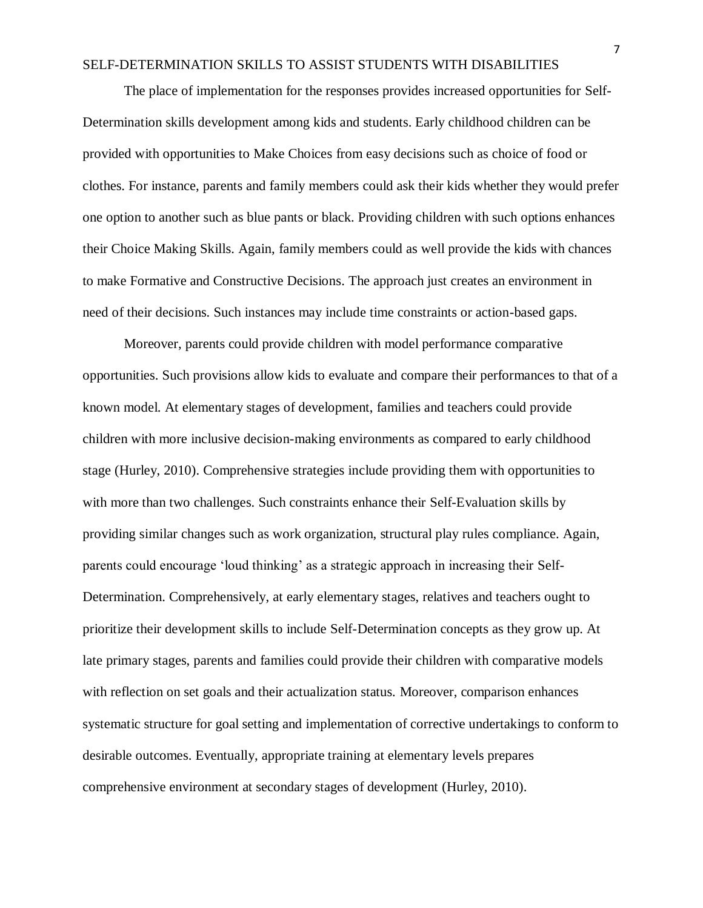The place of implementation for the responses provides increased opportunities for Self-Determination skills development among kids and students. Early childhood children can be provided with opportunities to Make Choices from easy decisions such as choice of food or clothes. For instance, parents and family members could ask their kids whether they would prefer one option to another such as blue pants or black. Providing children with such options enhances their Choice Making Skills. Again, family members could as well provide the kids with chances to make Formative and Constructive Decisions. The approach just creates an environment in need of their decisions. Such instances may include time constraints or action-based gaps.

Moreover, parents could provide children with model performance comparative opportunities. Such provisions allow kids to evaluate and compare their performances to that of a known model. At elementary stages of development, families and teachers could provide children with more inclusive decision-making environments as compared to early childhood stage (Hurley, 2010). Comprehensive strategies include providing them with opportunities to with more than two challenges. Such constraints enhance their Self-Evaluation skills by providing similar changes such as work organization, structural play rules compliance. Again, parents could encourage 'loud thinking' as a strategic approach in increasing their Self-Determination. Comprehensively, at early elementary stages, relatives and teachers ought to prioritize their development skills to include Self-Determination concepts as they grow up. At late primary stages, parents and families could provide their children with comparative models with reflection on set goals and their actualization status. Moreover, comparison enhances systematic structure for goal setting and implementation of corrective undertakings to conform to desirable outcomes. Eventually, appropriate training at elementary levels prepares comprehensive environment at secondary stages of development (Hurley, 2010).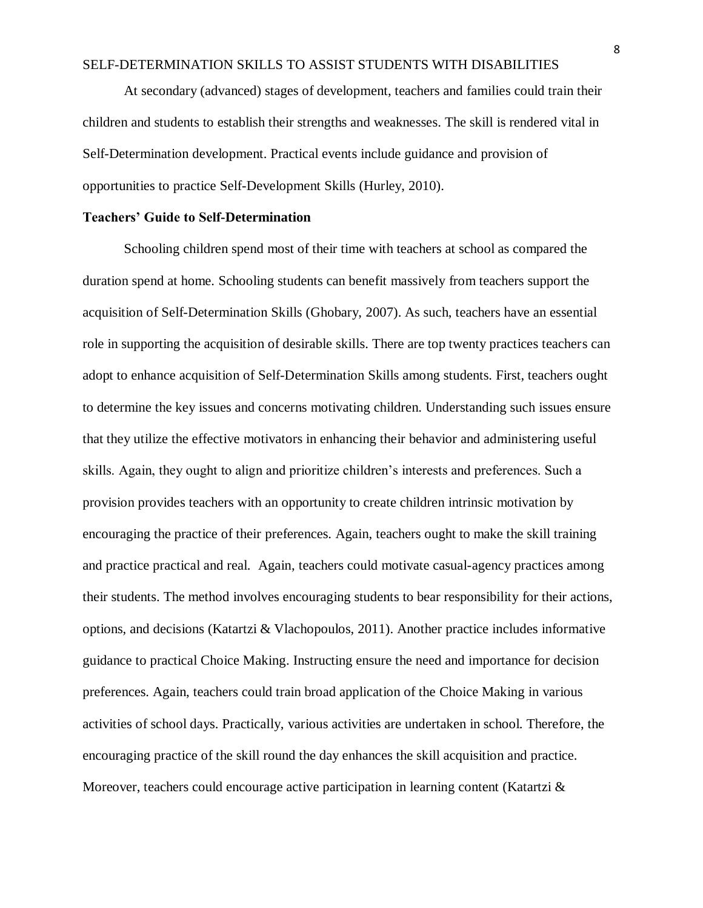At secondary (advanced) stages of development, teachers and families could train their children and students to establish their strengths and weaknesses. The skill is rendered vital in Self-Determination development. Practical events include guidance and provision of opportunities to practice Self-Development Skills (Hurley, 2010).

#### **Teachers' Guide to Self-Determination**

Schooling children spend most of their time with teachers at school as compared the duration spend at home. Schooling students can benefit massively from teachers support the acquisition of Self-Determination Skills (Ghobary, 2007). As such, teachers have an essential role in supporting the acquisition of desirable skills. There are top twenty practices teachers can adopt to enhance acquisition of Self-Determination Skills among students. First, teachers ought to determine the key issues and concerns motivating children. Understanding such issues ensure that they utilize the effective motivators in enhancing their behavior and administering useful skills. Again, they ought to align and prioritize children's interests and preferences. Such a provision provides teachers with an opportunity to create children intrinsic motivation by encouraging the practice of their preferences. Again, teachers ought to make the skill training and practice practical and real. Again, teachers could motivate casual-agency practices among their students. The method involves encouraging students to bear responsibility for their actions, options, and decisions (Katartzi & Vlachopoulos, 2011). Another practice includes informative guidance to practical Choice Making. Instructing ensure the need and importance for decision preferences. Again, teachers could train broad application of the Choice Making in various activities of school days. Practically, various activities are undertaken in school. Therefore, the encouraging practice of the skill round the day enhances the skill acquisition and practice. Moreover, teachers could encourage active participation in learning content (Katartzi &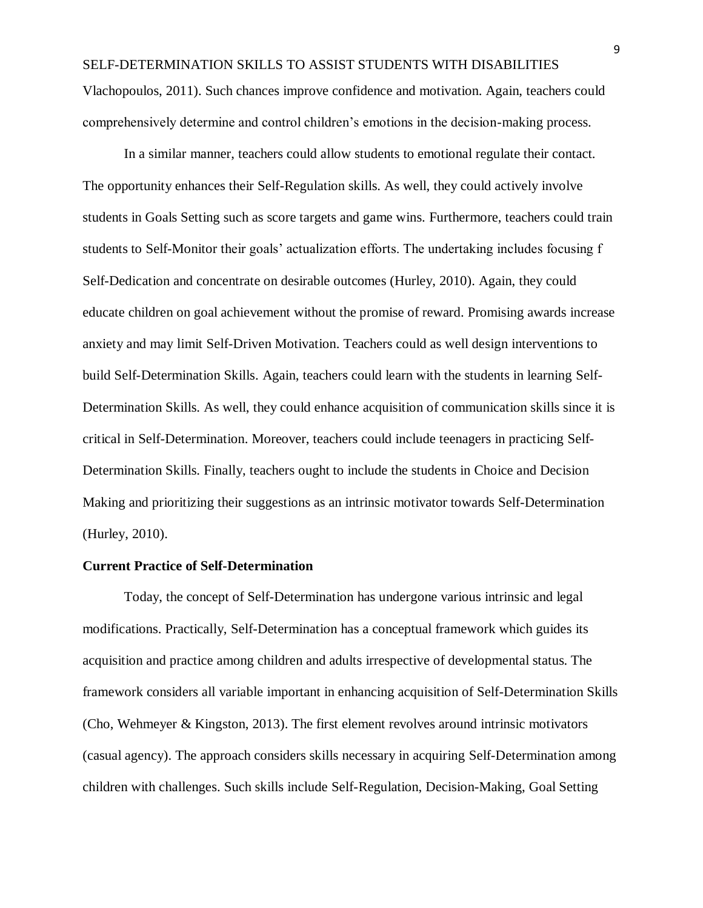Vlachopoulos, 2011). Such chances improve confidence and motivation. Again, teachers could comprehensively determine and control children's emotions in the decision-making process.

In a similar manner, teachers could allow students to emotional regulate their contact. The opportunity enhances their Self-Regulation skills. As well, they could actively involve students in Goals Setting such as score targets and game wins. Furthermore, teachers could train students to Self-Monitor their goals' actualization efforts. The undertaking includes focusing f Self-Dedication and concentrate on desirable outcomes (Hurley, 2010). Again, they could educate children on goal achievement without the promise of reward. Promising awards increase anxiety and may limit Self-Driven Motivation. Teachers could as well design interventions to build Self-Determination Skills. Again, teachers could learn with the students in learning Self-Determination Skills. As well, they could enhance acquisition of communication skills since it is critical in Self-Determination. Moreover, teachers could include teenagers in practicing Self-Determination Skills. Finally, teachers ought to include the students in Choice and Decision Making and prioritizing their suggestions as an intrinsic motivator towards Self-Determination (Hurley, 2010).

#### **Current Practice of Self-Determination**

Today, the concept of Self-Determination has undergone various intrinsic and legal modifications. Practically, Self-Determination has a conceptual framework which guides its acquisition and practice among children and adults irrespective of developmental status. The framework considers all variable important in enhancing acquisition of Self-Determination Skills (Cho, Wehmeyer & Kingston, 2013). The first element revolves around intrinsic motivators (casual agency). The approach considers skills necessary in acquiring Self-Determination among children with challenges. Such skills include Self-Regulation, Decision-Making, Goal Setting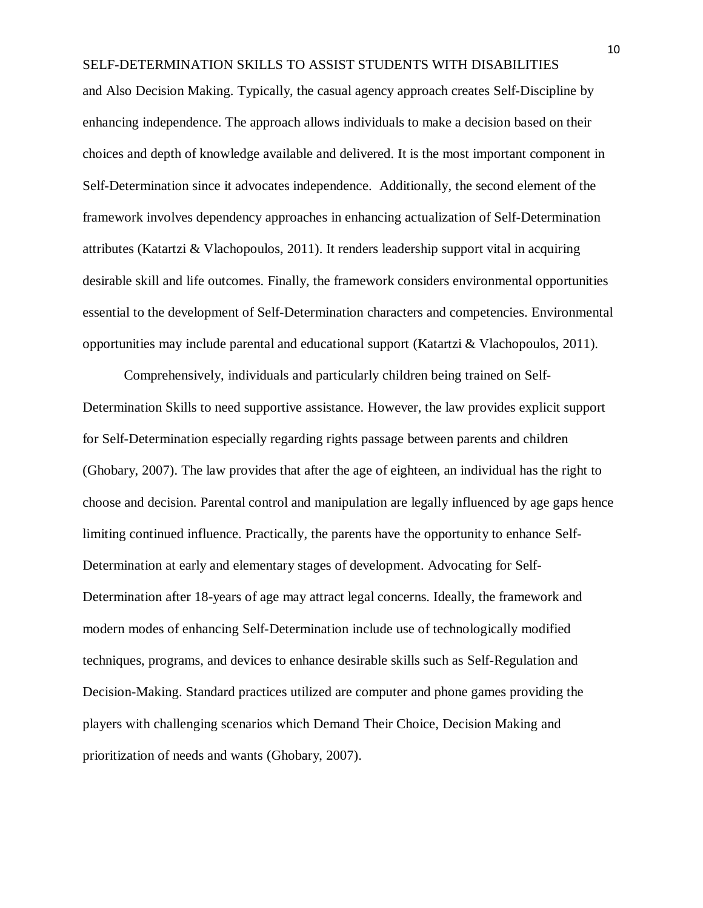and Also Decision Making. Typically, the casual agency approach creates Self-Discipline by enhancing independence. The approach allows individuals to make a decision based on their choices and depth of knowledge available and delivered. It is the most important component in Self-Determination since it advocates independence. Additionally, the second element of the framework involves dependency approaches in enhancing actualization of Self-Determination attributes (Katartzi & Vlachopoulos, 2011). It renders leadership support vital in acquiring desirable skill and life outcomes. Finally, the framework considers environmental opportunities essential to the development of Self-Determination characters and competencies. Environmental opportunities may include parental and educational support (Katartzi & Vlachopoulos, 2011).

Comprehensively, individuals and particularly children being trained on Self-Determination Skills to need supportive assistance. However, the law provides explicit support for Self-Determination especially regarding rights passage between parents and children (Ghobary, 2007). The law provides that after the age of eighteen, an individual has the right to choose and decision. Parental control and manipulation are legally influenced by age gaps hence limiting continued influence. Practically, the parents have the opportunity to enhance Self-Determination at early and elementary stages of development. Advocating for Self-Determination after 18-years of age may attract legal concerns. Ideally, the framework and modern modes of enhancing Self-Determination include use of technologically modified techniques, programs, and devices to enhance desirable skills such as Self-Regulation and Decision-Making. Standard practices utilized are computer and phone games providing the players with challenging scenarios which Demand Their Choice, Decision Making and prioritization of needs and wants (Ghobary, 2007).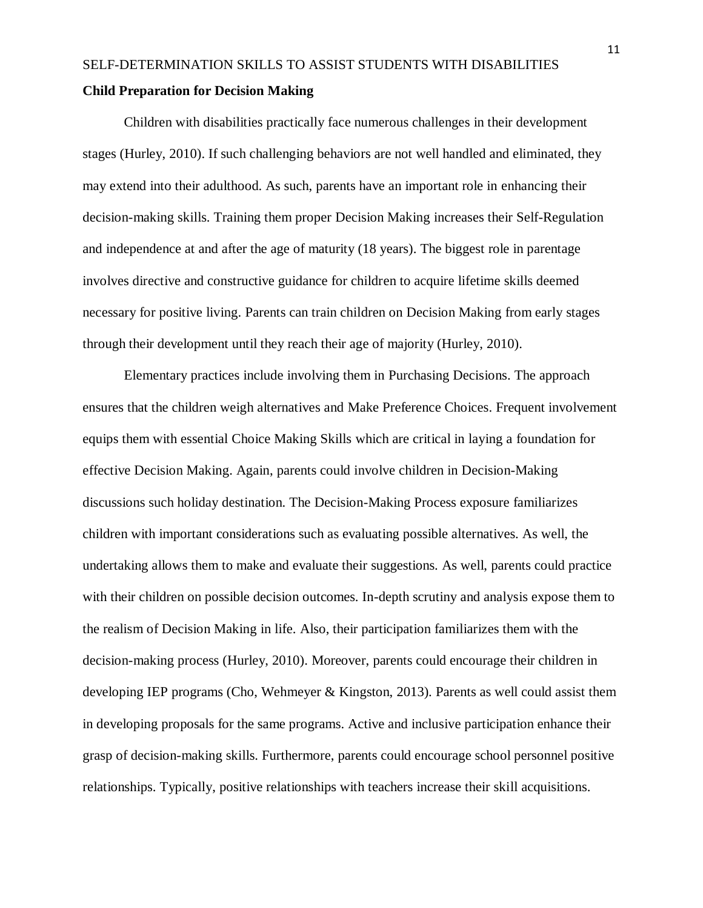Children with disabilities practically face numerous challenges in their development stages (Hurley, 2010). If such challenging behaviors are not well handled and eliminated, they may extend into their adulthood. As such, parents have an important role in enhancing their decision-making skills. Training them proper Decision Making increases their Self-Regulation and independence at and after the age of maturity (18 years). The biggest role in parentage involves directive and constructive guidance for children to acquire lifetime skills deemed necessary for positive living. Parents can train children on Decision Making from early stages through their development until they reach their age of majority (Hurley, 2010).

Elementary practices include involving them in Purchasing Decisions. The approach ensures that the children weigh alternatives and Make Preference Choices. Frequent involvement equips them with essential Choice Making Skills which are critical in laying a foundation for effective Decision Making. Again, parents could involve children in Decision-Making discussions such holiday destination. The Decision-Making Process exposure familiarizes children with important considerations such as evaluating possible alternatives. As well, the undertaking allows them to make and evaluate their suggestions. As well, parents could practice with their children on possible decision outcomes. In-depth scrutiny and analysis expose them to the realism of Decision Making in life. Also, their participation familiarizes them with the decision-making process (Hurley, 2010). Moreover, parents could encourage their children in developing IEP programs (Cho, Wehmeyer & Kingston, 2013). Parents as well could assist them in developing proposals for the same programs. Active and inclusive participation enhance their grasp of decision-making skills. Furthermore, parents could encourage school personnel positive relationships. Typically, positive relationships with teachers increase their skill acquisitions.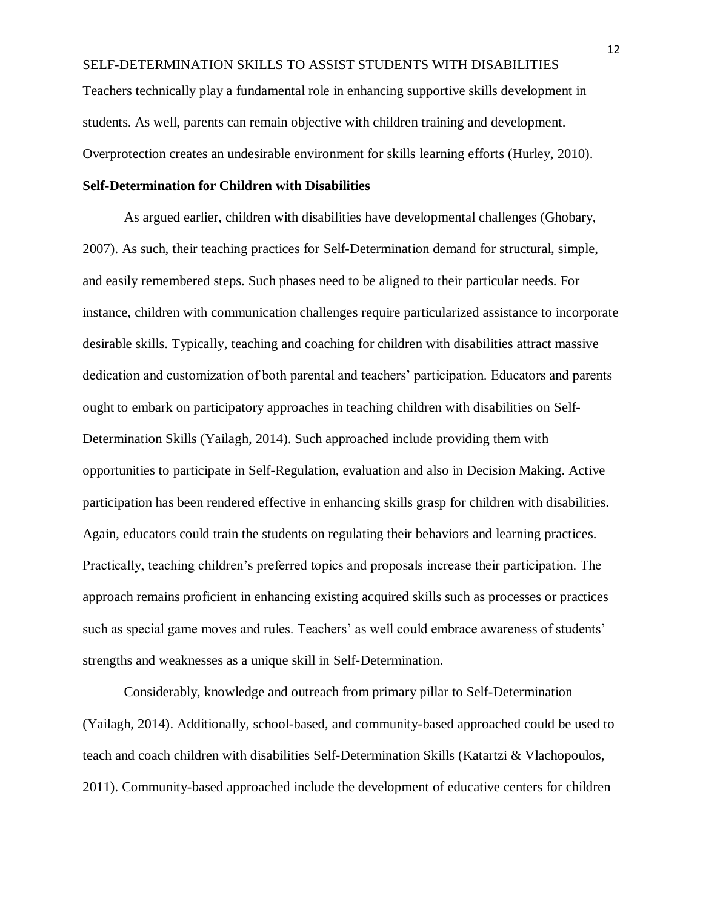SELF-DETERMINATION SKILLS TO ASSIST STUDENTS WITH DISABILITIES Teachers technically play a fundamental role in enhancing supportive skills development in students. As well, parents can remain objective with children training and development. Overprotection creates an undesirable environment for skills learning efforts (Hurley, 2010).

## **Self-Determination for Children with Disabilities**

As argued earlier, children with disabilities have developmental challenges (Ghobary, 2007). As such, their teaching practices for Self-Determination demand for structural, simple, and easily remembered steps. Such phases need to be aligned to their particular needs. For instance, children with communication challenges require particularized assistance to incorporate desirable skills. Typically, teaching and coaching for children with disabilities attract massive dedication and customization of both parental and teachers' participation. Educators and parents ought to embark on participatory approaches in teaching children with disabilities on Self-Determination Skills (Yailagh, 2014). Such approached include providing them with opportunities to participate in Self-Regulation, evaluation and also in Decision Making. Active participation has been rendered effective in enhancing skills grasp for children with disabilities. Again, educators could train the students on regulating their behaviors and learning practices. Practically, teaching children's preferred topics and proposals increase their participation. The approach remains proficient in enhancing existing acquired skills such as processes or practices such as special game moves and rules. Teachers' as well could embrace awareness of students' strengths and weaknesses as a unique skill in Self-Determination.

Considerably, knowledge and outreach from primary pillar to Self-Determination (Yailagh, 2014). Additionally, school-based, and community-based approached could be used to teach and coach children with disabilities Self-Determination Skills (Katartzi & Vlachopoulos, 2011). Community-based approached include the development of educative centers for children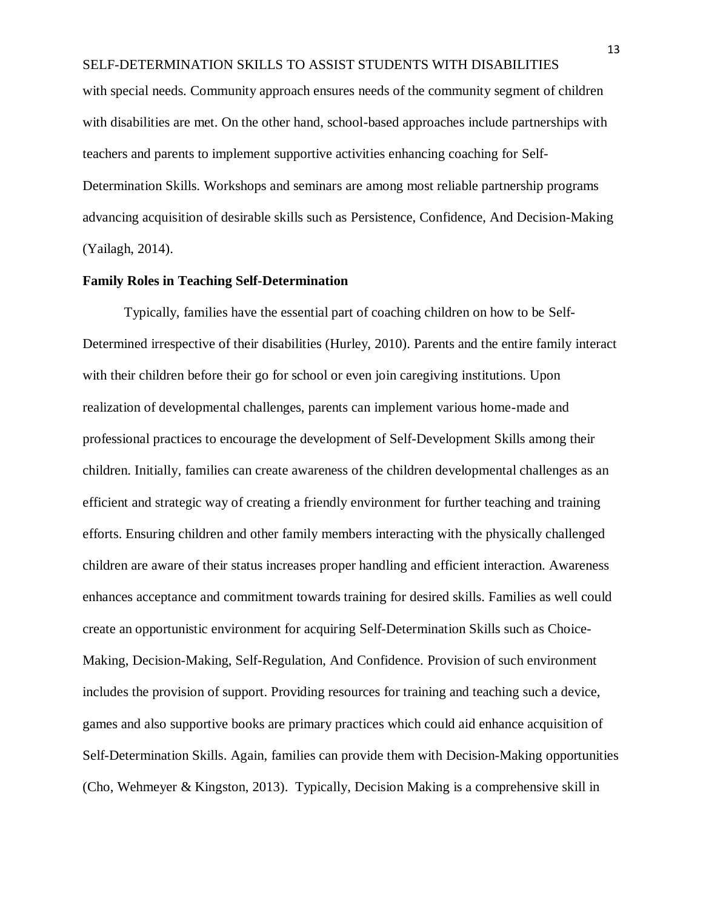with special needs. Community approach ensures needs of the community segment of children with disabilities are met. On the other hand, school-based approaches include partnerships with teachers and parents to implement supportive activities enhancing coaching for Self-Determination Skills. Workshops and seminars are among most reliable partnership programs advancing acquisition of desirable skills such as Persistence, Confidence, And Decision-Making (Yailagh, 2014).

## **Family Roles in Teaching Self-Determination**

Typically, families have the essential part of coaching children on how to be Self-Determined irrespective of their disabilities (Hurley, 2010). Parents and the entire family interact with their children before their go for school or even join caregiving institutions. Upon realization of developmental challenges, parents can implement various home-made and professional practices to encourage the development of Self-Development Skills among their children. Initially, families can create awareness of the children developmental challenges as an efficient and strategic way of creating a friendly environment for further teaching and training efforts. Ensuring children and other family members interacting with the physically challenged children are aware of their status increases proper handling and efficient interaction. Awareness enhances acceptance and commitment towards training for desired skills. Families as well could create an opportunistic environment for acquiring Self-Determination Skills such as Choice-Making, Decision-Making, Self-Regulation, And Confidence. Provision of such environment includes the provision of support. Providing resources for training and teaching such a device, games and also supportive books are primary practices which could aid enhance acquisition of Self-Determination Skills. Again, families can provide them with Decision-Making opportunities (Cho, Wehmeyer & Kingston, 2013). Typically, Decision Making is a comprehensive skill in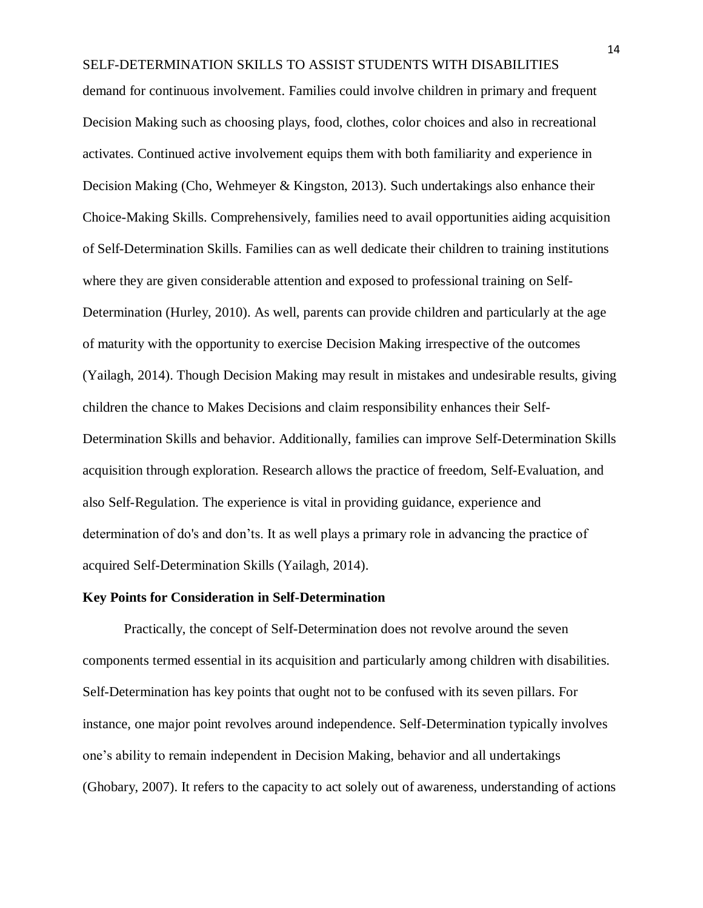SELF-DETERMINATION SKILLS TO ASSIST STUDENTS WITH DISABILITIES demand for continuous involvement. Families could involve children in primary and frequent Decision Making such as choosing plays, food, clothes, color choices and also in recreational activates. Continued active involvement equips them with both familiarity and experience in Decision Making (Cho, Wehmeyer & Kingston, 2013). Such undertakings also enhance their Choice-Making Skills. Comprehensively, families need to avail opportunities aiding acquisition of Self-Determination Skills. Families can as well dedicate their children to training institutions where they are given considerable attention and exposed to professional training on Self-Determination (Hurley, 2010). As well, parents can provide children and particularly at the age of maturity with the opportunity to exercise Decision Making irrespective of the outcomes (Yailagh, 2014). Though Decision Making may result in mistakes and undesirable results, giving children the chance to Makes Decisions and claim responsibility enhances their Self-Determination Skills and behavior. Additionally, families can improve Self-Determination Skills acquisition through exploration. Research allows the practice of freedom, Self-Evaluation, and also Self-Regulation. The experience is vital in providing guidance, experience and determination of do's and don'ts. It as well plays a primary role in advancing the practice of acquired Self-Determination Skills (Yailagh, 2014).

#### **Key Points for Consideration in Self-Determination**

Practically, the concept of Self-Determination does not revolve around the seven components termed essential in its acquisition and particularly among children with disabilities. Self-Determination has key points that ought not to be confused with its seven pillars. For instance, one major point revolves around independence. Self-Determination typically involves one's ability to remain independent in Decision Making, behavior and all undertakings (Ghobary, 2007). It refers to the capacity to act solely out of awareness, understanding of actions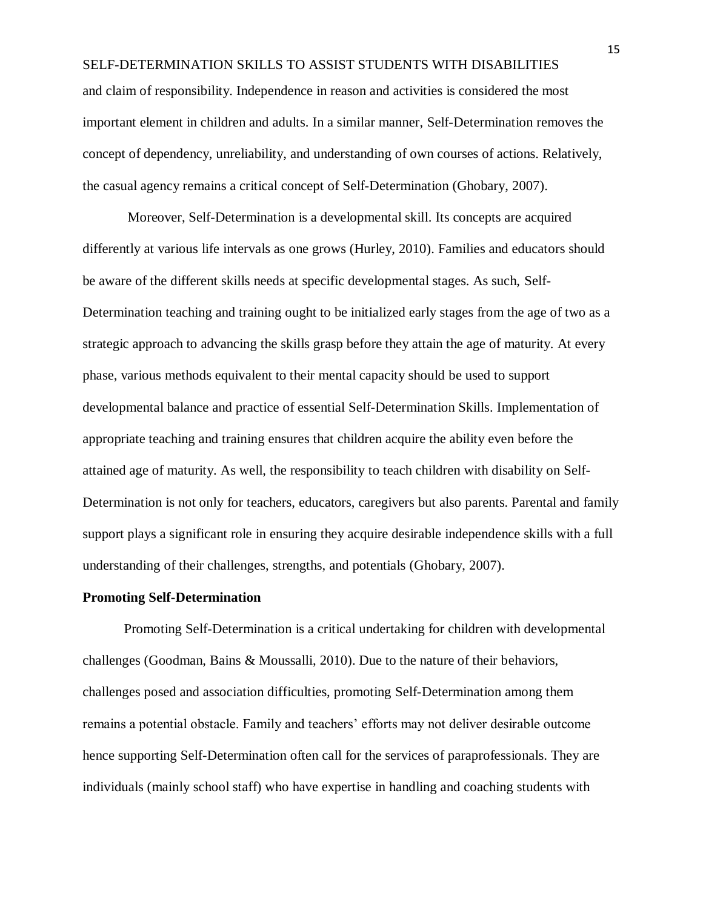and claim of responsibility. Independence in reason and activities is considered the most important element in children and adults. In a similar manner, Self-Determination removes the concept of dependency, unreliability, and understanding of own courses of actions. Relatively, the casual agency remains a critical concept of Self-Determination (Ghobary, 2007).

Moreover, Self-Determination is a developmental skill. Its concepts are acquired differently at various life intervals as one grows (Hurley, 2010). Families and educators should be aware of the different skills needs at specific developmental stages. As such, Self-Determination teaching and training ought to be initialized early stages from the age of two as a strategic approach to advancing the skills grasp before they attain the age of maturity. At every phase, various methods equivalent to their mental capacity should be used to support developmental balance and practice of essential Self-Determination Skills. Implementation of appropriate teaching and training ensures that children acquire the ability even before the attained age of maturity. As well, the responsibility to teach children with disability on Self-Determination is not only for teachers, educators, caregivers but also parents. Parental and family support plays a significant role in ensuring they acquire desirable independence skills with a full understanding of their challenges, strengths, and potentials (Ghobary, 2007).

#### **Promoting Self-Determination**

Promoting Self-Determination is a critical undertaking for children with developmental challenges (Goodman, Bains & Moussalli, 2010). Due to the nature of their behaviors, challenges posed and association difficulties, promoting Self-Determination among them remains a potential obstacle. Family and teachers' efforts may not deliver desirable outcome hence supporting Self-Determination often call for the services of paraprofessionals. They are individuals (mainly school staff) who have expertise in handling and coaching students with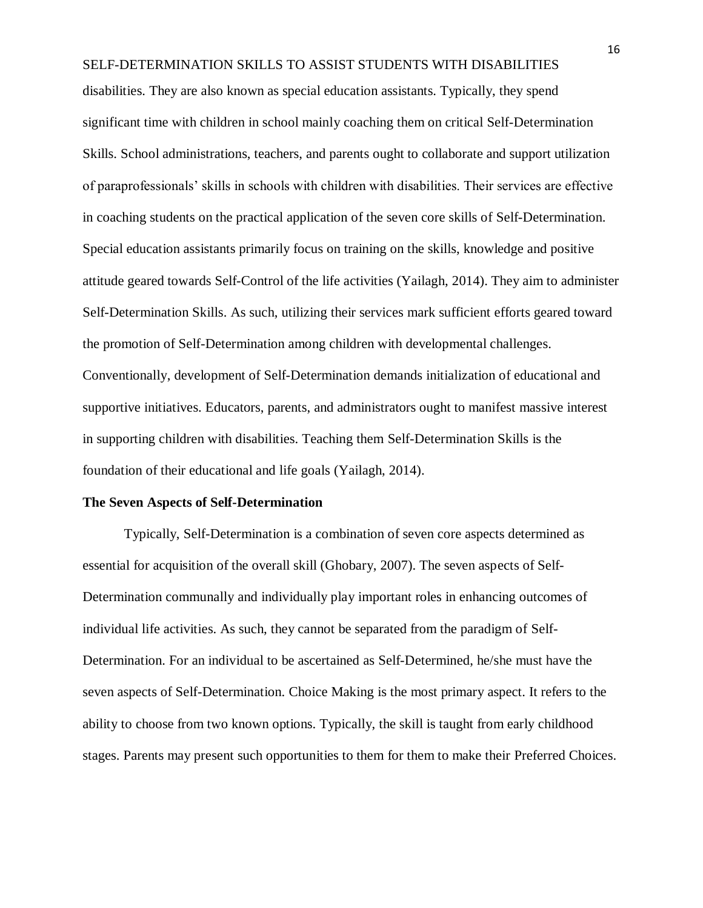disabilities. They are also known as special education assistants. Typically, they spend significant time with children in school mainly coaching them on critical Self-Determination Skills. School administrations, teachers, and parents ought to collaborate and support utilization of paraprofessionals' skills in schools with children with disabilities. Their services are effective in coaching students on the practical application of the seven core skills of Self-Determination. Special education assistants primarily focus on training on the skills, knowledge and positive attitude geared towards Self-Control of the life activities (Yailagh, 2014). They aim to administer Self-Determination Skills. As such, utilizing their services mark sufficient efforts geared toward the promotion of Self-Determination among children with developmental challenges. Conventionally, development of Self-Determination demands initialization of educational and supportive initiatives. Educators, parents, and administrators ought to manifest massive interest in supporting children with disabilities. Teaching them Self-Determination Skills is the foundation of their educational and life goals (Yailagh, 2014).

#### **The Seven Aspects of Self-Determination**

Typically, Self-Determination is a combination of seven core aspects determined as essential for acquisition of the overall skill (Ghobary, 2007). The seven aspects of Self-Determination communally and individually play important roles in enhancing outcomes of individual life activities. As such, they cannot be separated from the paradigm of Self-Determination. For an individual to be ascertained as Self-Determined, he/she must have the seven aspects of Self-Determination. Choice Making is the most primary aspect. It refers to the ability to choose from two known options. Typically, the skill is taught from early childhood stages. Parents may present such opportunities to them for them to make their Preferred Choices.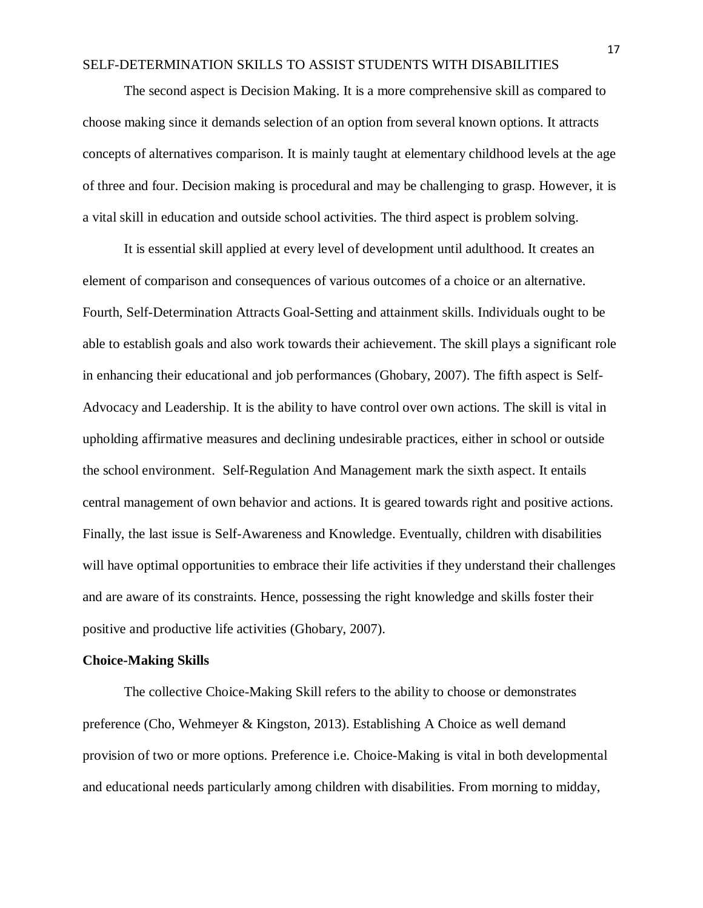The second aspect is Decision Making. It is a more comprehensive skill as compared to choose making since it demands selection of an option from several known options. It attracts concepts of alternatives comparison. It is mainly taught at elementary childhood levels at the age of three and four. Decision making is procedural and may be challenging to grasp. However, it is a vital skill in education and outside school activities. The third aspect is problem solving.

It is essential skill applied at every level of development until adulthood. It creates an element of comparison and consequences of various outcomes of a choice or an alternative. Fourth, Self-Determination Attracts Goal-Setting and attainment skills. Individuals ought to be able to establish goals and also work towards their achievement. The skill plays a significant role in enhancing their educational and job performances (Ghobary, 2007). The fifth aspect is Self-Advocacy and Leadership. It is the ability to have control over own actions. The skill is vital in upholding affirmative measures and declining undesirable practices, either in school or outside the school environment. Self-Regulation And Management mark the sixth aspect. It entails central management of own behavior and actions. It is geared towards right and positive actions. Finally, the last issue is Self-Awareness and Knowledge. Eventually, children with disabilities will have optimal opportunities to embrace their life activities if they understand their challenges and are aware of its constraints. Hence, possessing the right knowledge and skills foster their positive and productive life activities (Ghobary, 2007).

#### **Choice-Making Skills**

The collective Choice-Making Skill refers to the ability to choose or demonstrates preference (Cho, Wehmeyer & Kingston, 2013). Establishing A Choice as well demand provision of two or more options. Preference i.e. Choice-Making is vital in both developmental and educational needs particularly among children with disabilities. From morning to midday,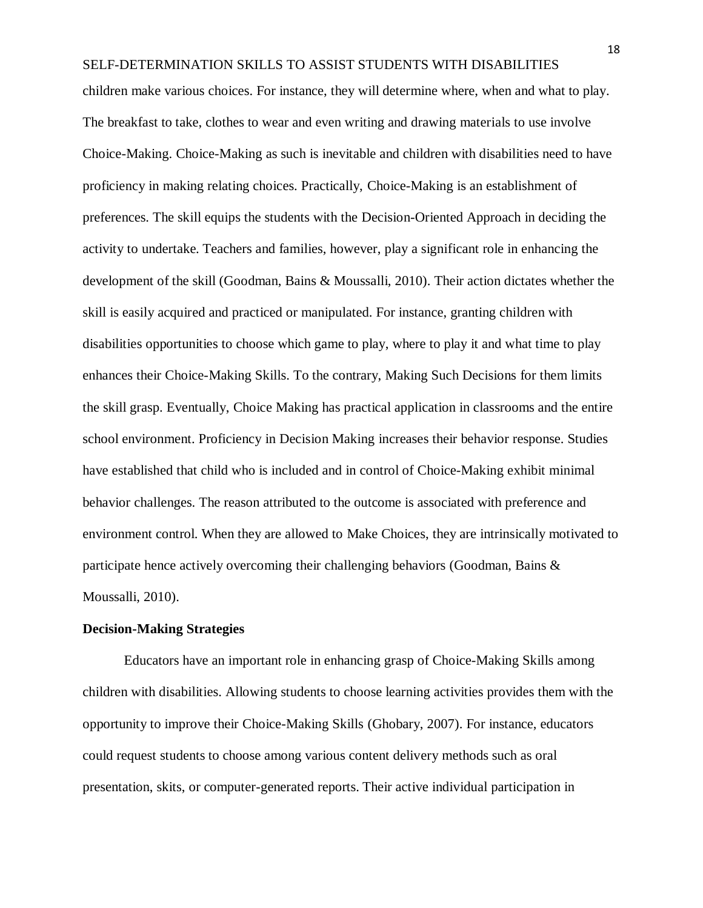children make various choices. For instance, they will determine where, when and what to play. The breakfast to take, clothes to wear and even writing and drawing materials to use involve Choice-Making. Choice-Making as such is inevitable and children with disabilities need to have proficiency in making relating choices. Practically, Choice-Making is an establishment of preferences. The skill equips the students with the Decision-Oriented Approach in deciding the activity to undertake. Teachers and families, however, play a significant role in enhancing the development of the skill (Goodman, Bains & Moussalli, 2010). Their action dictates whether the skill is easily acquired and practiced or manipulated. For instance, granting children with disabilities opportunities to choose which game to play, where to play it and what time to play enhances their Choice-Making Skills. To the contrary, Making Such Decisions for them limits the skill grasp. Eventually, Choice Making has practical application in classrooms and the entire school environment. Proficiency in Decision Making increases their behavior response. Studies have established that child who is included and in control of Choice-Making exhibit minimal behavior challenges. The reason attributed to the outcome is associated with preference and environment control. When they are allowed to Make Choices, they are intrinsically motivated to participate hence actively overcoming their challenging behaviors (Goodman, Bains & Moussalli, 2010).

#### **Decision-Making Strategies**

Educators have an important role in enhancing grasp of Choice-Making Skills among children with disabilities. Allowing students to choose learning activities provides them with the opportunity to improve their Choice-Making Skills (Ghobary, 2007). For instance, educators could request students to choose among various content delivery methods such as oral presentation, skits, or computer-generated reports. Their active individual participation in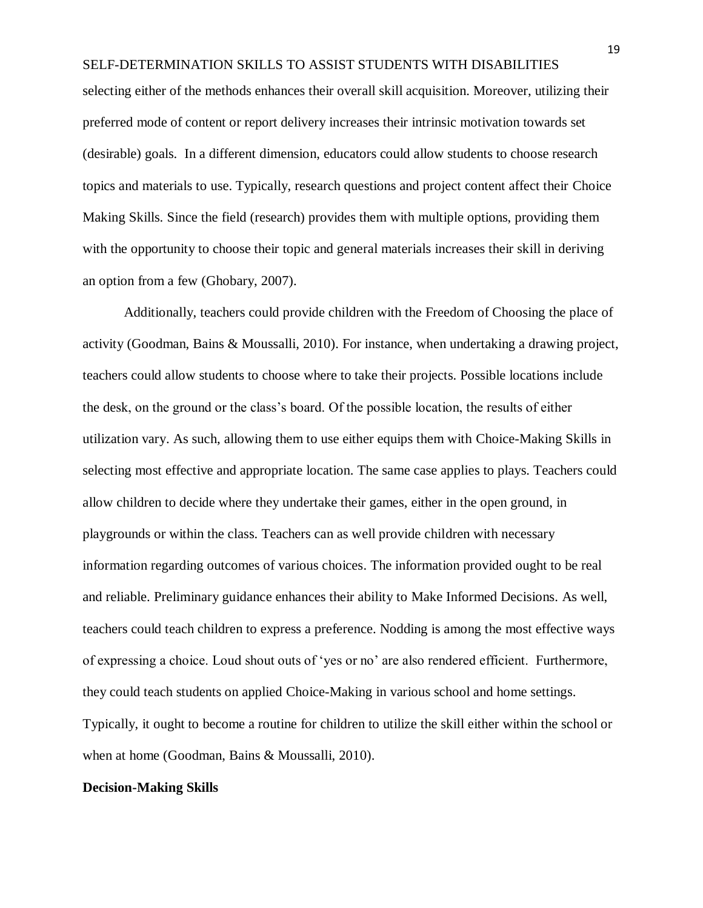selecting either of the methods enhances their overall skill acquisition. Moreover, utilizing their preferred mode of content or report delivery increases their intrinsic motivation towards set (desirable) goals. In a different dimension, educators could allow students to choose research topics and materials to use. Typically, research questions and project content affect their Choice Making Skills. Since the field (research) provides them with multiple options, providing them with the opportunity to choose their topic and general materials increases their skill in deriving an option from a few (Ghobary, 2007).

Additionally, teachers could provide children with the Freedom of Choosing the place of activity (Goodman, Bains & Moussalli, 2010). For instance, when undertaking a drawing project, teachers could allow students to choose where to take their projects. Possible locations include the desk, on the ground or the class's board. Of the possible location, the results of either utilization vary. As such, allowing them to use either equips them with Choice-Making Skills in selecting most effective and appropriate location. The same case applies to plays. Teachers could allow children to decide where they undertake their games, either in the open ground, in playgrounds or within the class. Teachers can as well provide children with necessary information regarding outcomes of various choices. The information provided ought to be real and reliable. Preliminary guidance enhances their ability to Make Informed Decisions. As well, teachers could teach children to express a preference. Nodding is among the most effective ways of expressing a choice. Loud shout outs of 'yes or no' are also rendered efficient. Furthermore, they could teach students on applied Choice-Making in various school and home settings. Typically, it ought to become a routine for children to utilize the skill either within the school or when at home (Goodman, Bains & Moussalli, 2010).

#### **Decision-Making Skills**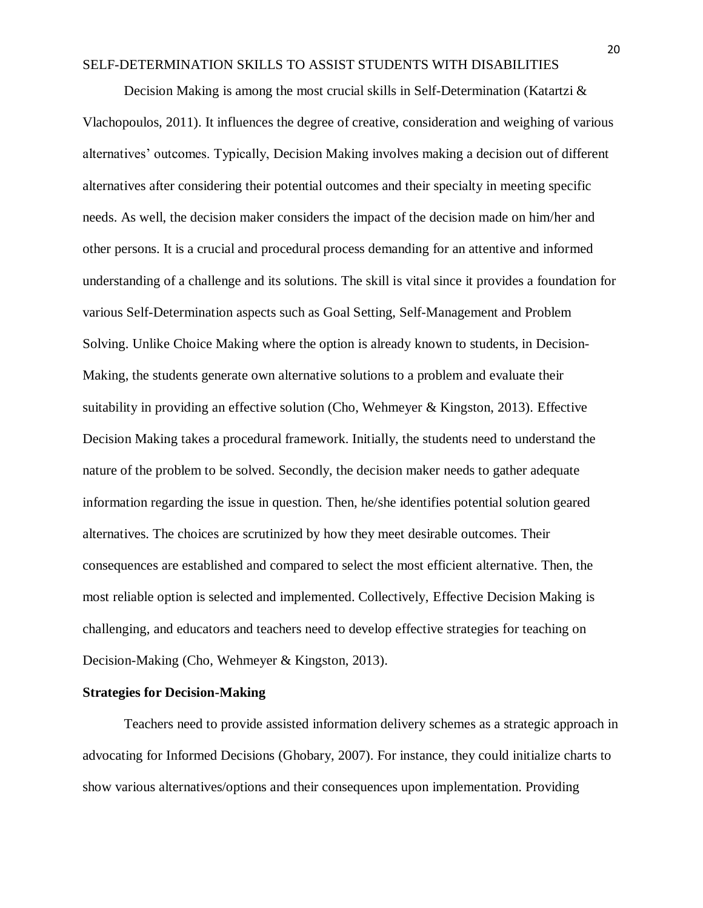Decision Making is among the most crucial skills in Self-Determination (Katartzi  $\&$ Vlachopoulos, 2011). It influences the degree of creative, consideration and weighing of various alternatives' outcomes. Typically, Decision Making involves making a decision out of different alternatives after considering their potential outcomes and their specialty in meeting specific needs. As well, the decision maker considers the impact of the decision made on him/her and other persons. It is a crucial and procedural process demanding for an attentive and informed understanding of a challenge and its solutions. The skill is vital since it provides a foundation for various Self-Determination aspects such as Goal Setting, Self-Management and Problem Solving. Unlike Choice Making where the option is already known to students, in Decision-Making, the students generate own alternative solutions to a problem and evaluate their suitability in providing an effective solution (Cho, Wehmeyer & Kingston, 2013). Effective Decision Making takes a procedural framework. Initially, the students need to understand the nature of the problem to be solved. Secondly, the decision maker needs to gather adequate information regarding the issue in question. Then, he/she identifies potential solution geared alternatives. The choices are scrutinized by how they meet desirable outcomes. Their consequences are established and compared to select the most efficient alternative. Then, the most reliable option is selected and implemented. Collectively, Effective Decision Making is challenging, and educators and teachers need to develop effective strategies for teaching on Decision-Making (Cho, Wehmeyer & Kingston, 2013).

### **Strategies for Decision-Making**

Teachers need to provide assisted information delivery schemes as a strategic approach in advocating for Informed Decisions (Ghobary, 2007). For instance, they could initialize charts to show various alternatives/options and their consequences upon implementation. Providing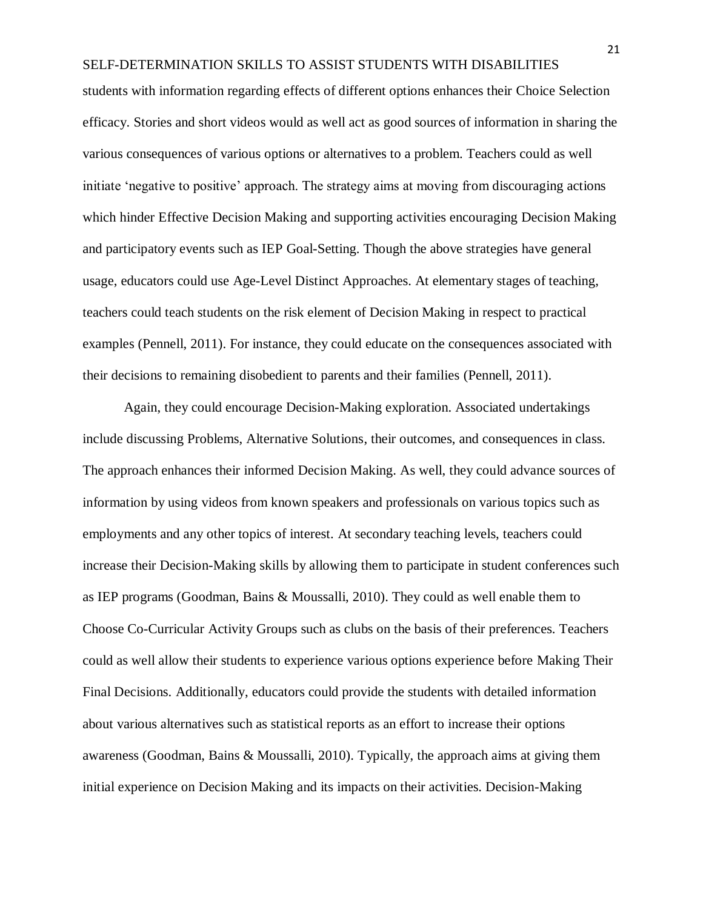students with information regarding effects of different options enhances their Choice Selection efficacy. Stories and short videos would as well act as good sources of information in sharing the various consequences of various options or alternatives to a problem. Teachers could as well initiate 'negative to positive' approach. The strategy aims at moving from discouraging actions which hinder Effective Decision Making and supporting activities encouraging Decision Making and participatory events such as IEP Goal-Setting. Though the above strategies have general usage, educators could use Age-Level Distinct Approaches. At elementary stages of teaching, teachers could teach students on the risk element of Decision Making in respect to practical examples (Pennell, 2011). For instance, they could educate on the consequences associated with their decisions to remaining disobedient to parents and their families (Pennell, 2011).

Again, they could encourage Decision-Making exploration. Associated undertakings include discussing Problems, Alternative Solutions, their outcomes, and consequences in class. The approach enhances their informed Decision Making. As well, they could advance sources of information by using videos from known speakers and professionals on various topics such as employments and any other topics of interest. At secondary teaching levels, teachers could increase their Decision-Making skills by allowing them to participate in student conferences such as IEP programs (Goodman, Bains & Moussalli, 2010). They could as well enable them to Choose Co-Curricular Activity Groups such as clubs on the basis of their preferences. Teachers could as well allow their students to experience various options experience before Making Their Final Decisions. Additionally, educators could provide the students with detailed information about various alternatives such as statistical reports as an effort to increase their options awareness (Goodman, Bains & Moussalli, 2010). Typically, the approach aims at giving them initial experience on Decision Making and its impacts on their activities. Decision-Making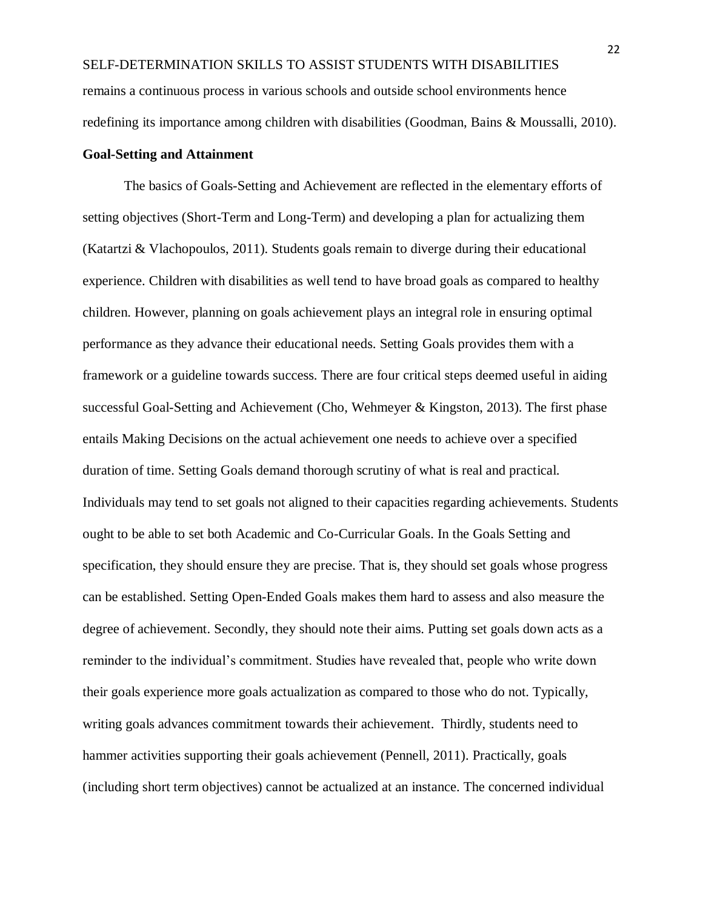SELF-DETERMINATION SKILLS TO ASSIST STUDENTS WITH DISABILITIES remains a continuous process in various schools and outside school environments hence redefining its importance among children with disabilities (Goodman, Bains & Moussalli, 2010).

### **Goal-Setting and Attainment**

The basics of Goals-Setting and Achievement are reflected in the elementary efforts of setting objectives (Short-Term and Long-Term) and developing a plan for actualizing them (Katartzi & Vlachopoulos, 2011). Students goals remain to diverge during their educational experience. Children with disabilities as well tend to have broad goals as compared to healthy children. However, planning on goals achievement plays an integral role in ensuring optimal performance as they advance their educational needs. Setting Goals provides them with a framework or a guideline towards success. There are four critical steps deemed useful in aiding successful Goal-Setting and Achievement (Cho, Wehmeyer & Kingston, 2013). The first phase entails Making Decisions on the actual achievement one needs to achieve over a specified duration of time. Setting Goals demand thorough scrutiny of what is real and practical. Individuals may tend to set goals not aligned to their capacities regarding achievements. Students ought to be able to set both Academic and Co-Curricular Goals. In the Goals Setting and specification, they should ensure they are precise. That is, they should set goals whose progress can be established. Setting Open-Ended Goals makes them hard to assess and also measure the degree of achievement. Secondly, they should note their aims. Putting set goals down acts as a reminder to the individual's commitment. Studies have revealed that, people who write down their goals experience more goals actualization as compared to those who do not. Typically, writing goals advances commitment towards their achievement. Thirdly, students need to hammer activities supporting their goals achievement (Pennell, 2011). Practically, goals (including short term objectives) cannot be actualized at an instance. The concerned individual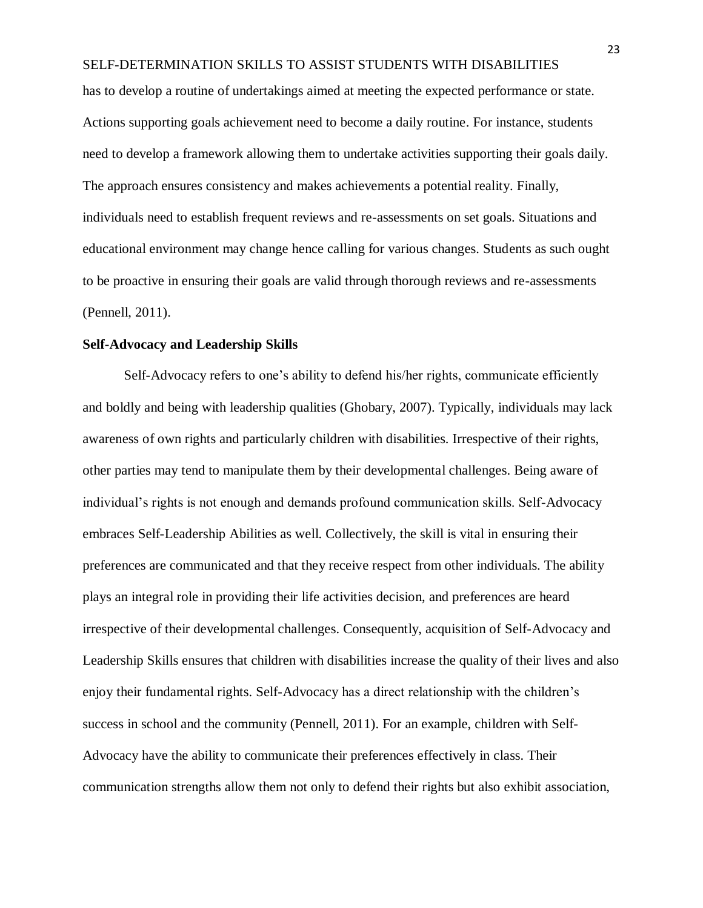has to develop a routine of undertakings aimed at meeting the expected performance or state. Actions supporting goals achievement need to become a daily routine. For instance, students need to develop a framework allowing them to undertake activities supporting their goals daily. The approach ensures consistency and makes achievements a potential reality. Finally, individuals need to establish frequent reviews and re-assessments on set goals. Situations and educational environment may change hence calling for various changes. Students as such ought to be proactive in ensuring their goals are valid through thorough reviews and re-assessments (Pennell, 2011).

### **Self-Advocacy and Leadership Skills**

Self-Advocacy refers to one's ability to defend his/her rights, communicate efficiently and boldly and being with leadership qualities (Ghobary, 2007). Typically, individuals may lack awareness of own rights and particularly children with disabilities. Irrespective of their rights, other parties may tend to manipulate them by their developmental challenges. Being aware of individual's rights is not enough and demands profound communication skills. Self-Advocacy embraces Self-Leadership Abilities as well. Collectively, the skill is vital in ensuring their preferences are communicated and that they receive respect from other individuals. The ability plays an integral role in providing their life activities decision, and preferences are heard irrespective of their developmental challenges. Consequently, acquisition of Self-Advocacy and Leadership Skills ensures that children with disabilities increase the quality of their lives and also enjoy their fundamental rights. Self-Advocacy has a direct relationship with the children's success in school and the community (Pennell, 2011). For an example, children with Self-Advocacy have the ability to communicate their preferences effectively in class. Their communication strengths allow them not only to defend their rights but also exhibit association,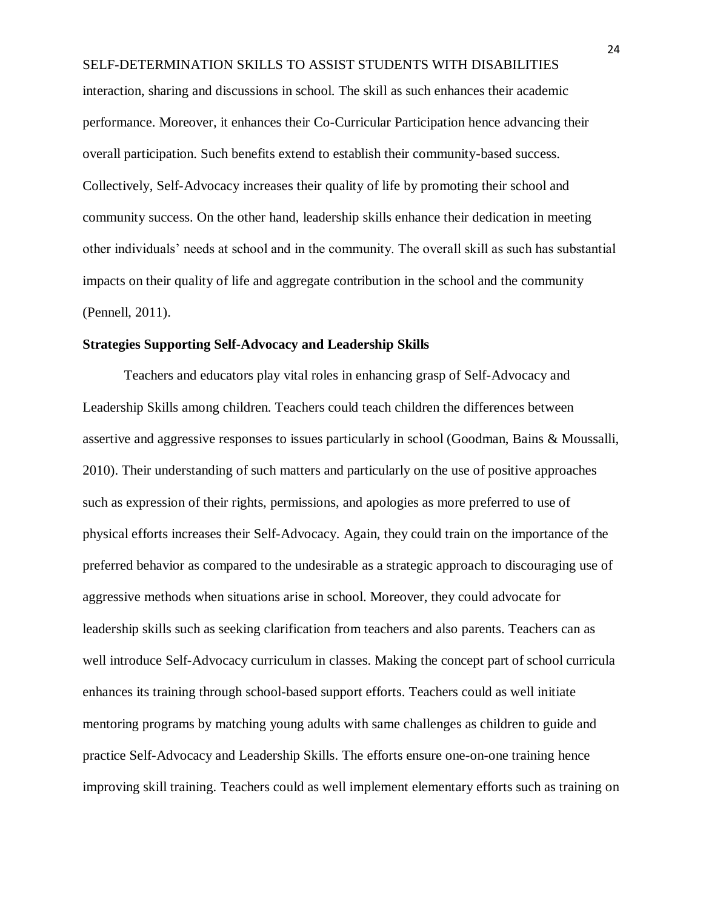SELF-DETERMINATION SKILLS TO ASSIST STUDENTS WITH DISABILITIES interaction, sharing and discussions in school. The skill as such enhances their academic performance. Moreover, it enhances their Co-Curricular Participation hence advancing their overall participation. Such benefits extend to establish their community-based success. Collectively, Self-Advocacy increases their quality of life by promoting their school and community success. On the other hand, leadership skills enhance their dedication in meeting other individuals' needs at school and in the community. The overall skill as such has substantial impacts on their quality of life and aggregate contribution in the school and the community (Pennell, 2011).

#### **Strategies Supporting Self-Advocacy and Leadership Skills**

Teachers and educators play vital roles in enhancing grasp of Self-Advocacy and Leadership Skills among children. Teachers could teach children the differences between assertive and aggressive responses to issues particularly in school (Goodman, Bains & Moussalli, 2010). Their understanding of such matters and particularly on the use of positive approaches such as expression of their rights, permissions, and apologies as more preferred to use of physical efforts increases their Self-Advocacy. Again, they could train on the importance of the preferred behavior as compared to the undesirable as a strategic approach to discouraging use of aggressive methods when situations arise in school. Moreover, they could advocate for leadership skills such as seeking clarification from teachers and also parents. Teachers can as well introduce Self-Advocacy curriculum in classes. Making the concept part of school curricula enhances its training through school-based support efforts. Teachers could as well initiate mentoring programs by matching young adults with same challenges as children to guide and practice Self-Advocacy and Leadership Skills. The efforts ensure one-on-one training hence improving skill training. Teachers could as well implement elementary efforts such as training on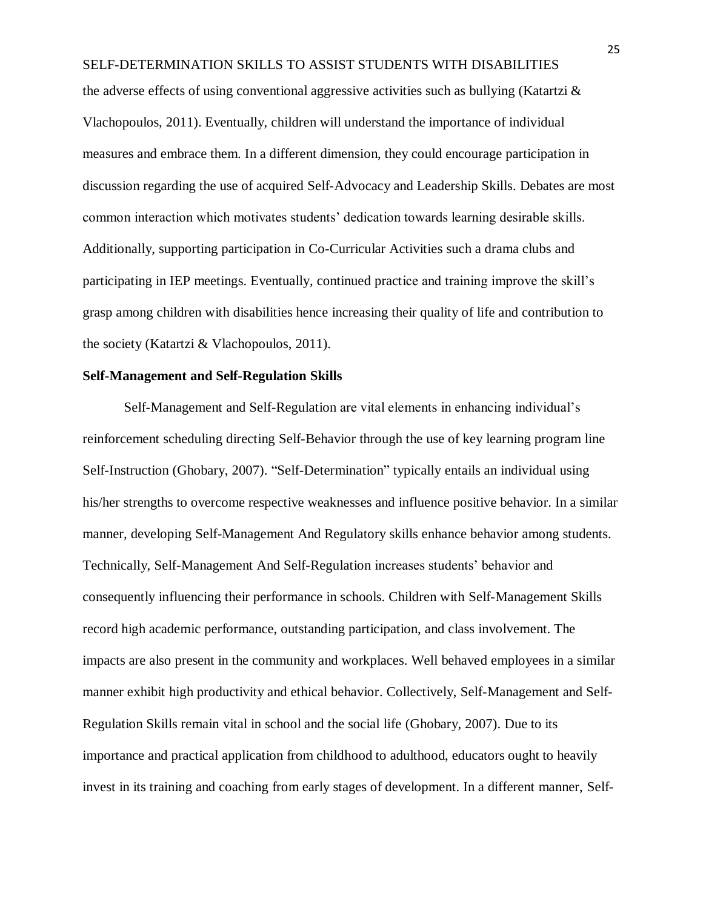the adverse effects of using conventional aggressive activities such as bullying (Katartzi  $\&$ Vlachopoulos, 2011). Eventually, children will understand the importance of individual measures and embrace them. In a different dimension, they could encourage participation in discussion regarding the use of acquired Self-Advocacy and Leadership Skills. Debates are most common interaction which motivates students' dedication towards learning desirable skills. Additionally, supporting participation in Co-Curricular Activities such a drama clubs and participating in IEP meetings. Eventually, continued practice and training improve the skill's grasp among children with disabilities hence increasing their quality of life and contribution to the society (Katartzi & Vlachopoulos, 2011).

## **Self-Management and Self-Regulation Skills**

Self-Management and Self-Regulation are vital elements in enhancing individual's reinforcement scheduling directing Self-Behavior through the use of key learning program line Self-Instruction (Ghobary, 2007). "Self-Determination" typically entails an individual using his/her strengths to overcome respective weaknesses and influence positive behavior. In a similar manner, developing Self-Management And Regulatory skills enhance behavior among students. Technically, Self-Management And Self-Regulation increases students' behavior and consequently influencing their performance in schools. Children with Self-Management Skills record high academic performance, outstanding participation, and class involvement. The impacts are also present in the community and workplaces. Well behaved employees in a similar manner exhibit high productivity and ethical behavior. Collectively, Self-Management and Self-Regulation Skills remain vital in school and the social life (Ghobary, 2007). Due to its importance and practical application from childhood to adulthood, educators ought to heavily invest in its training and coaching from early stages of development. In a different manner, Self-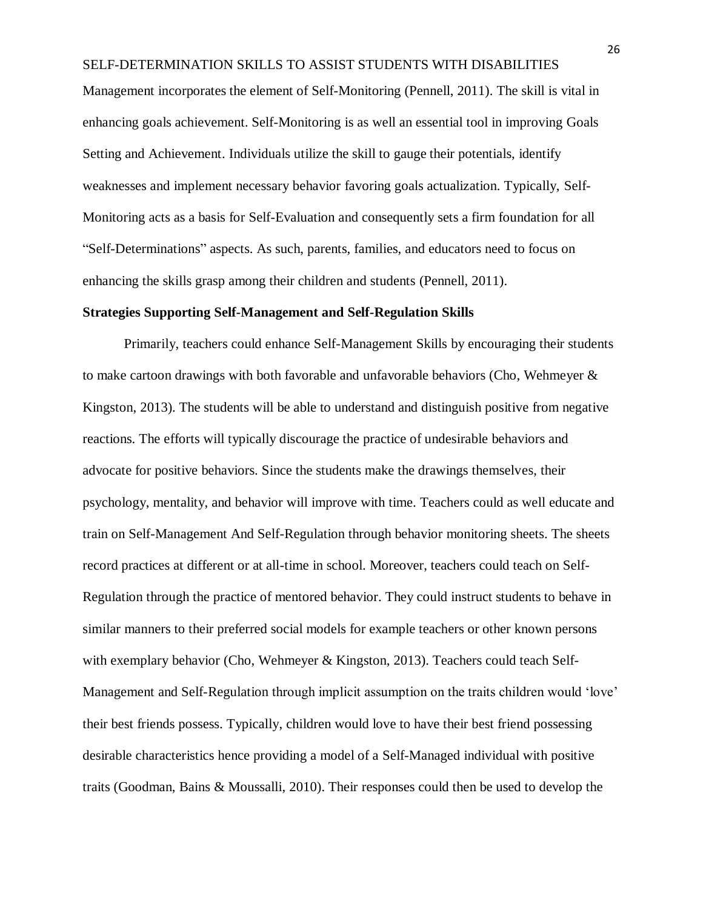Management incorporates the element of Self-Monitoring (Pennell, 2011). The skill is vital in enhancing goals achievement. Self-Monitoring is as well an essential tool in improving Goals Setting and Achievement. Individuals utilize the skill to gauge their potentials, identify weaknesses and implement necessary behavior favoring goals actualization. Typically, Self-Monitoring acts as a basis for Self-Evaluation and consequently sets a firm foundation for all "Self-Determinations" aspects. As such, parents, families, and educators need to focus on enhancing the skills grasp among their children and students (Pennell, 2011).

#### **Strategies Supporting Self-Management and Self-Regulation Skills**

Primarily, teachers could enhance Self-Management Skills by encouraging their students to make cartoon drawings with both favorable and unfavorable behaviors (Cho, Wehmeyer & Kingston, 2013). The students will be able to understand and distinguish positive from negative reactions. The efforts will typically discourage the practice of undesirable behaviors and advocate for positive behaviors. Since the students make the drawings themselves, their psychology, mentality, and behavior will improve with time. Teachers could as well educate and train on Self-Management And Self-Regulation through behavior monitoring sheets. The sheets record practices at different or at all-time in school. Moreover, teachers could teach on Self-Regulation through the practice of mentored behavior. They could instruct students to behave in similar manners to their preferred social models for example teachers or other known persons with exemplary behavior (Cho, Wehmeyer & Kingston, 2013). Teachers could teach Self-Management and Self-Regulation through implicit assumption on the traits children would 'love' their best friends possess. Typically, children would love to have their best friend possessing desirable characteristics hence providing a model of a Self-Managed individual with positive traits (Goodman, Bains & Moussalli, 2010). Their responses could then be used to develop the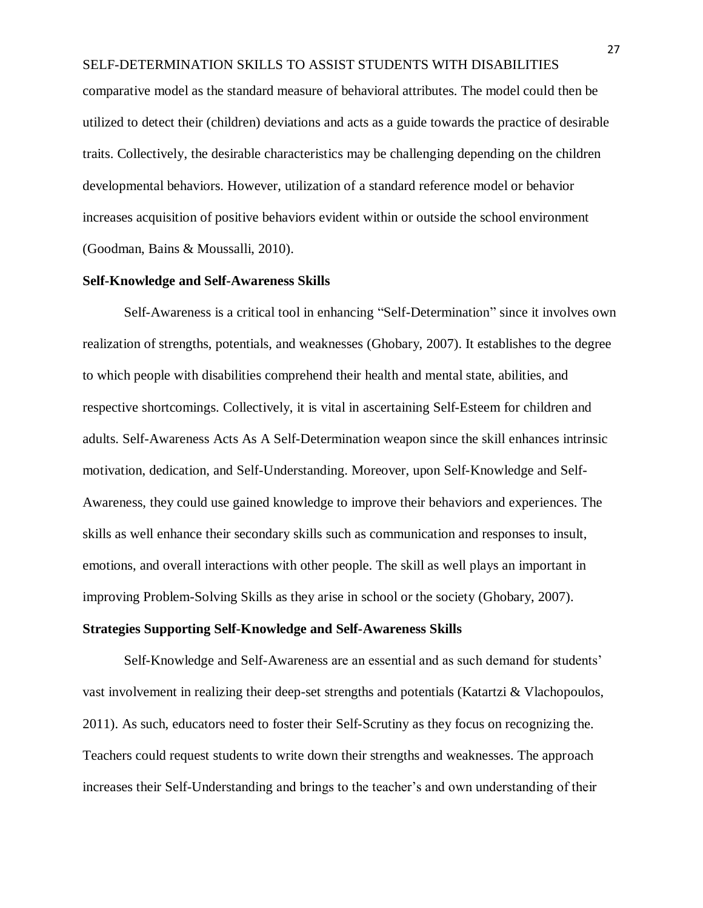comparative model as the standard measure of behavioral attributes. The model could then be utilized to detect their (children) deviations and acts as a guide towards the practice of desirable traits. Collectively, the desirable characteristics may be challenging depending on the children developmental behaviors. However, utilization of a standard reference model or behavior increases acquisition of positive behaviors evident within or outside the school environment (Goodman, Bains & Moussalli, 2010).

#### **Self-Knowledge and Self-Awareness Skills**

Self-Awareness is a critical tool in enhancing "Self-Determination" since it involves own realization of strengths, potentials, and weaknesses (Ghobary, 2007). It establishes to the degree to which people with disabilities comprehend their health and mental state, abilities, and respective shortcomings. Collectively, it is vital in ascertaining Self-Esteem for children and adults. Self-Awareness Acts As A Self-Determination weapon since the skill enhances intrinsic motivation, dedication, and Self-Understanding. Moreover, upon Self-Knowledge and Self-Awareness, they could use gained knowledge to improve their behaviors and experiences. The skills as well enhance their secondary skills such as communication and responses to insult, emotions, and overall interactions with other people. The skill as well plays an important in improving Problem-Solving Skills as they arise in school or the society (Ghobary, 2007).

#### **Strategies Supporting Self-Knowledge and Self-Awareness Skills**

Self-Knowledge and Self-Awareness are an essential and as such demand for students' vast involvement in realizing their deep-set strengths and potentials (Katartzi & Vlachopoulos, 2011). As such, educators need to foster their Self-Scrutiny as they focus on recognizing the. Teachers could request students to write down their strengths and weaknesses. The approach increases their Self-Understanding and brings to the teacher's and own understanding of their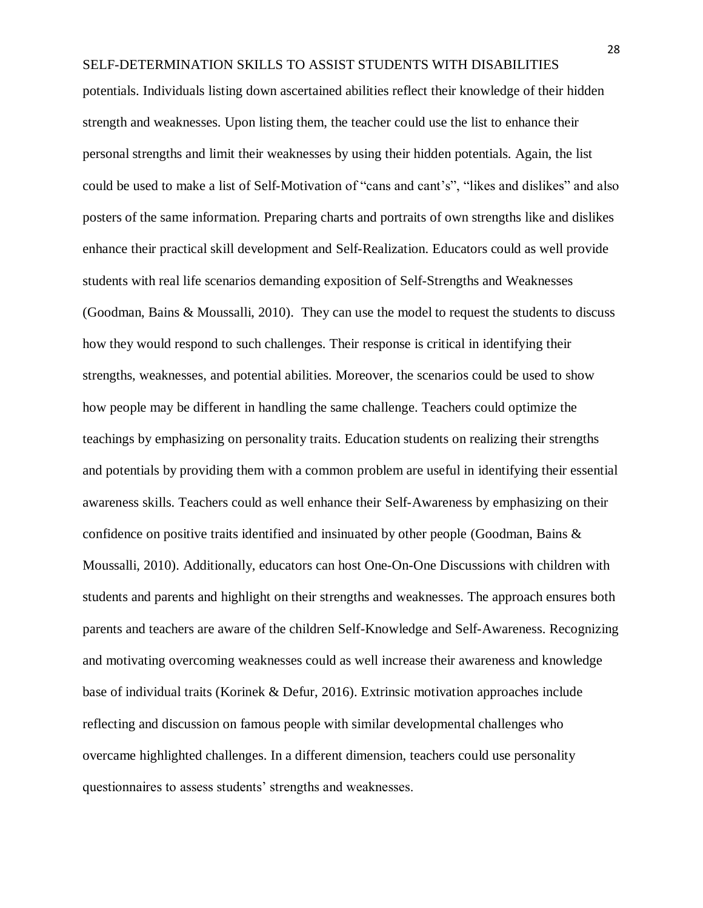potentials. Individuals listing down ascertained abilities reflect their knowledge of their hidden strength and weaknesses. Upon listing them, the teacher could use the list to enhance their personal strengths and limit their weaknesses by using their hidden potentials. Again, the list could be used to make a list of Self-Motivation of "cans and cant's", "likes and dislikes" and also posters of the same information. Preparing charts and portraits of own strengths like and dislikes enhance their practical skill development and Self-Realization. Educators could as well provide students with real life scenarios demanding exposition of Self-Strengths and Weaknesses (Goodman, Bains & Moussalli, 2010). They can use the model to request the students to discuss how they would respond to such challenges. Their response is critical in identifying their strengths, weaknesses, and potential abilities. Moreover, the scenarios could be used to show how people may be different in handling the same challenge. Teachers could optimize the teachings by emphasizing on personality traits. Education students on realizing their strengths and potentials by providing them with a common problem are useful in identifying their essential awareness skills. Teachers could as well enhance their Self-Awareness by emphasizing on their confidence on positive traits identified and insinuated by other people (Goodman, Bains & Moussalli, 2010). Additionally, educators can host One-On-One Discussions with children with students and parents and highlight on their strengths and weaknesses. The approach ensures both parents and teachers are aware of the children Self-Knowledge and Self-Awareness. Recognizing and motivating overcoming weaknesses could as well increase their awareness and knowledge base of individual traits (Korinek & Defur, 2016). Extrinsic motivation approaches include reflecting and discussion on famous people with similar developmental challenges who overcame highlighted challenges. In a different dimension, teachers could use personality questionnaires to assess students' strengths and weaknesses.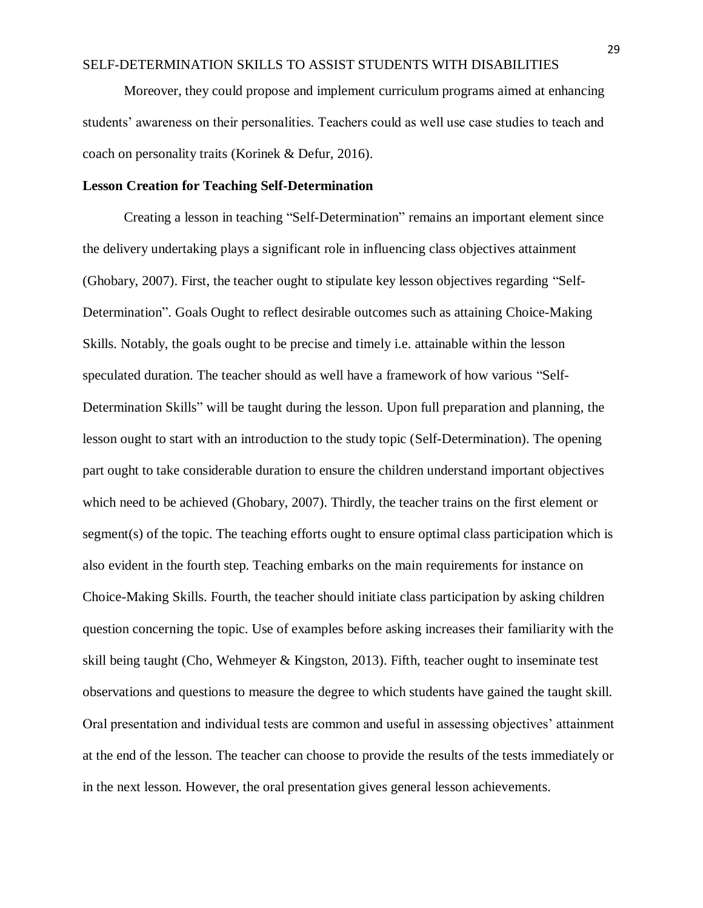Moreover, they could propose and implement curriculum programs aimed at enhancing students' awareness on their personalities. Teachers could as well use case studies to teach and coach on personality traits (Korinek & Defur, 2016).

## **Lesson Creation for Teaching Self-Determination**

Creating a lesson in teaching "Self-Determination" remains an important element since the delivery undertaking plays a significant role in influencing class objectives attainment (Ghobary, 2007). First, the teacher ought to stipulate key lesson objectives regarding "Self-Determination". Goals Ought to reflect desirable outcomes such as attaining Choice-Making Skills. Notably, the goals ought to be precise and timely i.e. attainable within the lesson speculated duration. The teacher should as well have a framework of how various "Self-Determination Skills" will be taught during the lesson. Upon full preparation and planning, the lesson ought to start with an introduction to the study topic (Self-Determination). The opening part ought to take considerable duration to ensure the children understand important objectives which need to be achieved (Ghobary, 2007). Thirdly, the teacher trains on the first element or segment(s) of the topic. The teaching efforts ought to ensure optimal class participation which is also evident in the fourth step. Teaching embarks on the main requirements for instance on Choice-Making Skills. Fourth, the teacher should initiate class participation by asking children question concerning the topic. Use of examples before asking increases their familiarity with the skill being taught (Cho, Wehmeyer & Kingston, 2013). Fifth, teacher ought to inseminate test observations and questions to measure the degree to which students have gained the taught skill. Oral presentation and individual tests are common and useful in assessing objectives' attainment at the end of the lesson. The teacher can choose to provide the results of the tests immediately or in the next lesson. However, the oral presentation gives general lesson achievements.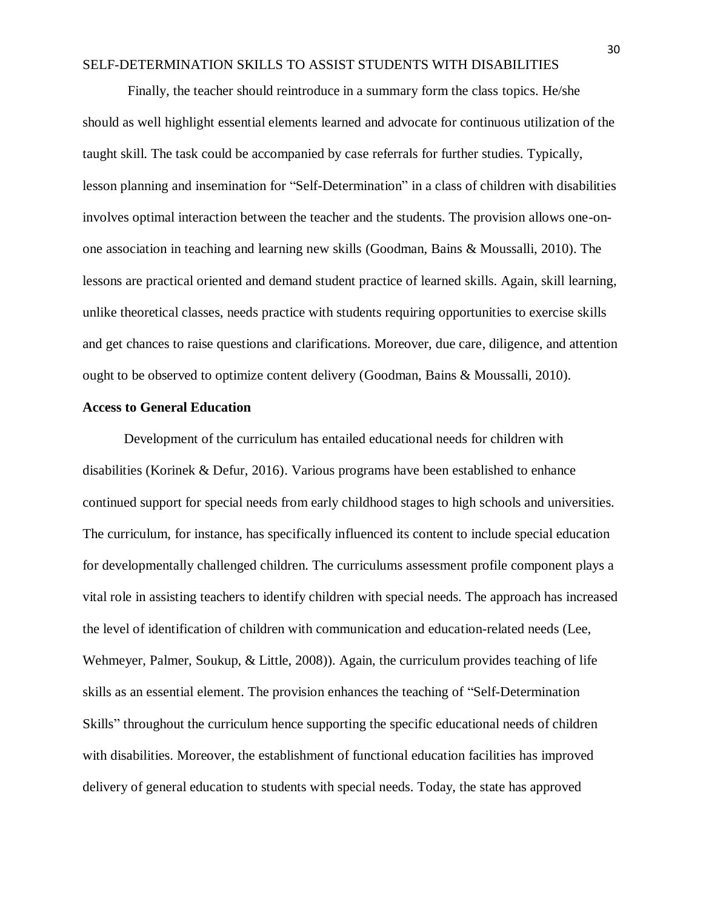Finally, the teacher should reintroduce in a summary form the class topics. He/she should as well highlight essential elements learned and advocate for continuous utilization of the taught skill. The task could be accompanied by case referrals for further studies. Typically, lesson planning and insemination for "Self-Determination" in a class of children with disabilities involves optimal interaction between the teacher and the students. The provision allows one-onone association in teaching and learning new skills (Goodman, Bains & Moussalli, 2010). The lessons are practical oriented and demand student practice of learned skills. Again, skill learning, unlike theoretical classes, needs practice with students requiring opportunities to exercise skills and get chances to raise questions and clarifications. Moreover, due care, diligence, and attention ought to be observed to optimize content delivery (Goodman, Bains & Moussalli, 2010).

#### **Access to General Education**

Development of the curriculum has entailed educational needs for children with disabilities (Korinek & Defur, 2016). Various programs have been established to enhance continued support for special needs from early childhood stages to high schools and universities. The curriculum, for instance, has specifically influenced its content to include special education for developmentally challenged children. The curriculums assessment profile component plays a vital role in assisting teachers to identify children with special needs. The approach has increased the level of identification of children with communication and education-related needs (Lee, Wehmeyer, Palmer, Soukup, & Little, 2008)). Again, the curriculum provides teaching of life skills as an essential element. The provision enhances the teaching of "Self-Determination Skills" throughout the curriculum hence supporting the specific educational needs of children with disabilities. Moreover, the establishment of functional education facilities has improved delivery of general education to students with special needs. Today, the state has approved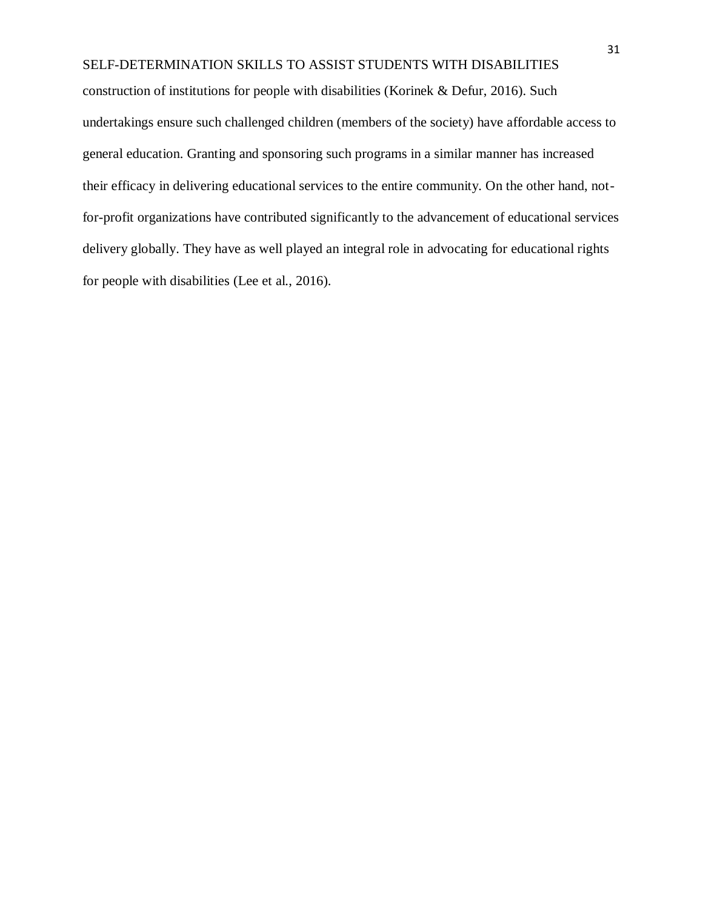construction of institutions for people with disabilities (Korinek & Defur, 2016). Such undertakings ensure such challenged children (members of the society) have affordable access to general education. Granting and sponsoring such programs in a similar manner has increased their efficacy in delivering educational services to the entire community. On the other hand, notfor-profit organizations have contributed significantly to the advancement of educational services delivery globally. They have as well played an integral role in advocating for educational rights for people with disabilities (Lee et al., 2016).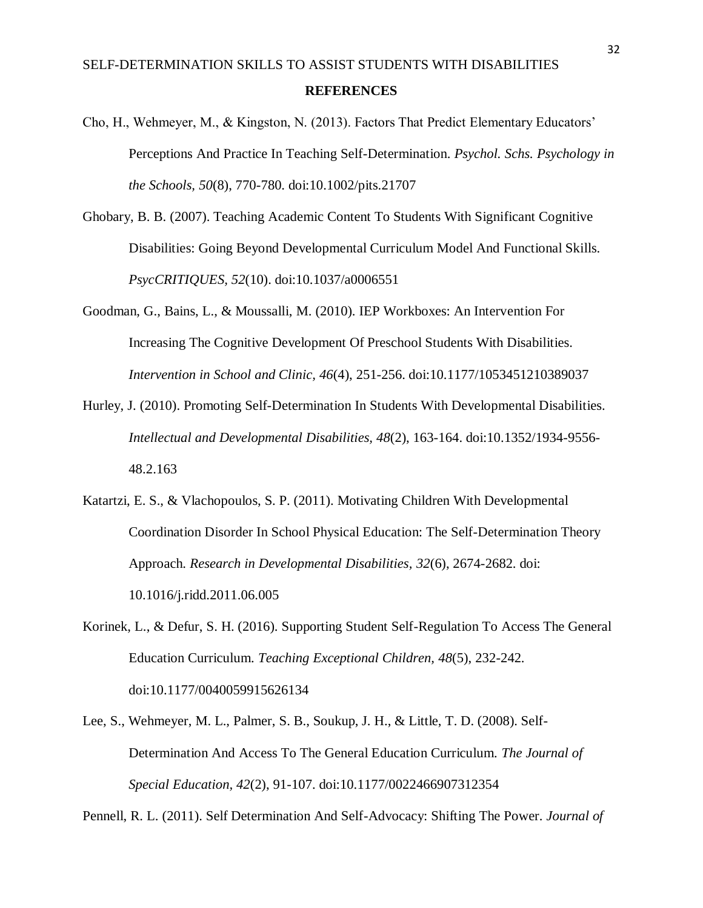- Cho, H., Wehmeyer, M., & Kingston, N. (2013). Factors That Predict Elementary Educators' Perceptions And Practice In Teaching Self-Determination. *Psychol. Schs. Psychology in the Schools, 50*(8), 770-780. doi:10.1002/pits.21707
- Ghobary, B. B. (2007). Teaching Academic Content To Students With Significant Cognitive Disabilities: Going Beyond Developmental Curriculum Model And Functional Skills. *PsycCRITIQUES, 52*(10). doi:10.1037/a0006551
- Goodman, G., Bains, L., & Moussalli, M. (2010). IEP Workboxes: An Intervention For Increasing The Cognitive Development Of Preschool Students With Disabilities. *Intervention in School and Clinic, 46*(4), 251-256. doi:10.1177/1053451210389037
- Hurley, J. (2010). Promoting Self-Determination In Students With Developmental Disabilities. *Intellectual and Developmental Disabilities, 48*(2), 163-164. doi:10.1352/1934-9556- 48.2.163
- Katartzi, E. S., & Vlachopoulos, S. P. (2011). Motivating Children With Developmental Coordination Disorder In School Physical Education: The Self-Determination Theory Approach. *Research in Developmental Disabilities, 32*(6), 2674-2682. doi: 10.1016/j.ridd.2011.06.005
- Korinek, L., & Defur, S. H. (2016). Supporting Student Self-Regulation To Access The General Education Curriculum. *Teaching Exceptional Children, 48*(5), 232-242. doi:10.1177/0040059915626134
- Lee, S., Wehmeyer, M. L., Palmer, S. B., Soukup, J. H., & Little, T. D. (2008). Self-Determination And Access To The General Education Curriculum. *The Journal of Special Education, 42*(2), 91-107. doi:10.1177/0022466907312354

Pennell, R. L. (2011). Self Determination And Self-Advocacy: Shifting The Power. *Journal of*